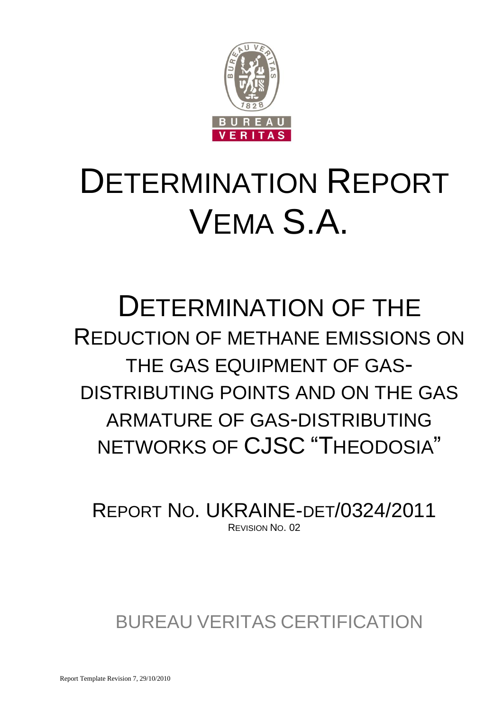

# DETERMINATION REPORT VEMA S.A.

# DETERMINATION OF THE REDUCTION OF METHANE EMISSIONS ON THE GAS EQUIPMENT OF GAS-DISTRIBUTING POINTS AND ON THE GAS ARMATURE OF GAS-DISTRIBUTING NETWORKS OF CJSC "THEODOSIA"

REPORT NO. UKRAINE-DET/0324/2011 REVISION NO. 02

BUREAU VERITAS CERTIFICATION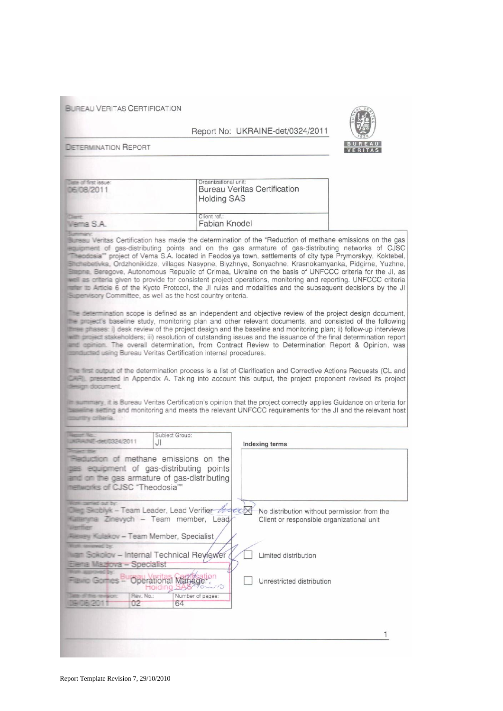**BUREAU VERITAS CERTIFICATION** 

#### Report No: UKRAINE-det/0324/2011



**DETERMINATION REPORT** 

| liable of first issue-<br>06/08/2011                                                                                                                                                                                                                                                                                                                                                                                                          | Organizational unit:<br><b>Bureau Veritas Certification</b><br><b>Holding SAS</b> |
|-----------------------------------------------------------------------------------------------------------------------------------------------------------------------------------------------------------------------------------------------------------------------------------------------------------------------------------------------------------------------------------------------------------------------------------------------|-----------------------------------------------------------------------------------|
| $\frac{1}{2} \left( \frac{1}{2} \right)^{2} \left( \frac{1}{2} \right)^{2} \left( \frac{1}{2} \right)^{2} \left( \frac{1}{2} \right)^{2} \left( \frac{1}{2} \right)^{2} \left( \frac{1}{2} \right)^{2} \left( \frac{1}{2} \right)^{2} \left( \frac{1}{2} \right)^{2} \left( \frac{1}{2} \right)^{2} \left( \frac{1}{2} \right)^{2} \left( \frac{1}{2} \right)^{2} \left( \frac{1}{2} \right)^{2} \left( \frac{1}{2} \right)^{2} \left( \frac$ | Client ref.:                                                                      |
| Vierma S.A.                                                                                                                                                                                                                                                                                                                                                                                                                                   | Fabian Knodel                                                                     |

Burgey Veritas Certification has made the determination of the "Reduction of methane emissions on the gas equipment of gas-distributing points and on the gas armature of gas-distributing networks of CJSC Theodosia" project of Vema S.A. located in Feodosiya town, settlements of city type Prymorskyy, Koktebel, Stratebetwka, Ordzhonikidze, villages Nasypne, Blyzhnye, Sonyachne, Krasnokamyanka, Pidgirne, Yuzhne, Stepne. Beregove, Autonomous Republic of Crimea, Ukraine on the basis of UNFCCC criteria for the JI, as well as orteria given to provide for consistent project operations, monitoring and reporting. UNFCCC criteria refer to Article 6 of the Kyoto Protocol, the JI rules and modalities and the subsequent decisions by the JI Supervisory Committee, as well as the host country criteria.

The determination scope is defined as an independent and objective review of the project design document, the project's baseline study, monitoring plan and other relevant documents, and consisted of the following These phases: i) desk review of the project design and the baseline and monitoring plan; ii) follow-up interviews with project stakeholders; iii) resolution of outstanding issues and the issuance of the final determination report and apinion. The overall determination, from Contract Review to Determination Report & Opinion, was statusted using Bureau Veritas Certification internal procedures.

The first cultout of the determination process is a list of Clarification and Corrective Actions Requests (CL and CAR presented in Appendix A. Taking into account this output, the project proponent revised its project design document.

In summary, it is Bureau Veritas Certification's opinion that the project correctly applies Guidance on criteria for asseme setting and monitoring and meets the relevant UNFCCC requirements for the JI and the relevant host country orberia.

| <b>Denver New</b><br>KFAINE-det/0324/2011                                                             | J۱             | Subject Group:                                                                                                                                 | Indexing terms                                                                           |
|-------------------------------------------------------------------------------------------------------|----------------|------------------------------------------------------------------------------------------------------------------------------------------------|------------------------------------------------------------------------------------------|
| <b>Project Mar</b><br>menworks of CJSC "Theodosia"                                                    |                | <b>Requision of methane emissions on the</b><br><b>THE equipment of gas-distributing points</b><br>and on the gas armature of gas-distributing |                                                                                          |
| Work camed out by:<br><b><i>USANTTISKE</i></b><br><b>Alexandria Kulakov - Team Member, Specialist</b> |                | <b>Clert Skitchyk - Team Leader, Lead Verifier MacCX</b><br><b>Katterwina Zinewych - Team member, Lead/</b>                                    | No distribution without permission from the<br>Client or responsible organizational unit |
| Work research by<br>Elena Maziova - Specialist                                                        |                | <b>Man Sckolov - Internal Technical Reviewer</b>                                                                                               | Limited distribution                                                                     |
| <b>AUDIOVEC DV</b><br>Flawin Gomes - Operational Manager                                              | MOIOIN         | $\sim$ / $\circ$                                                                                                                               | Unrestricted distribution                                                                |
| <b>Business reasons</b><br><b>USIOB 2011</b>                                                          | Rev. No:<br>02 | Number of pages:<br>64                                                                                                                         |                                                                                          |
|                                                                                                       |                |                                                                                                                                                |                                                                                          |
|                                                                                                       |                |                                                                                                                                                |                                                                                          |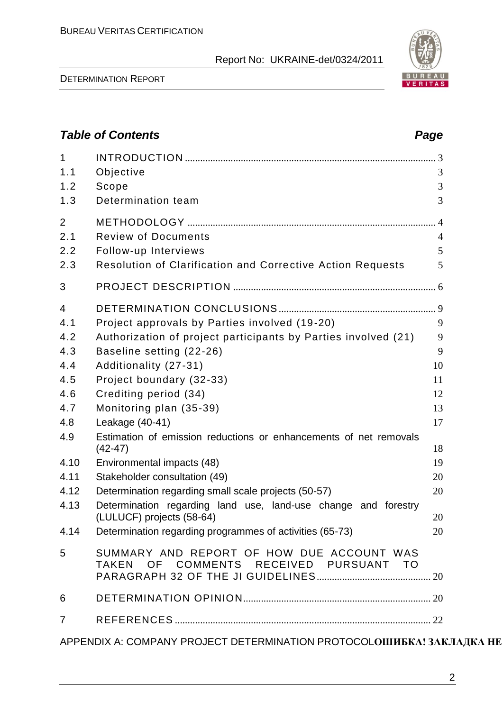DETERMINATION REPORT



APPENDIX A: COMPANY PROJECT DETERMINATION PROTOCOLOШИБКА! ЗАКЛАДКА НЕ

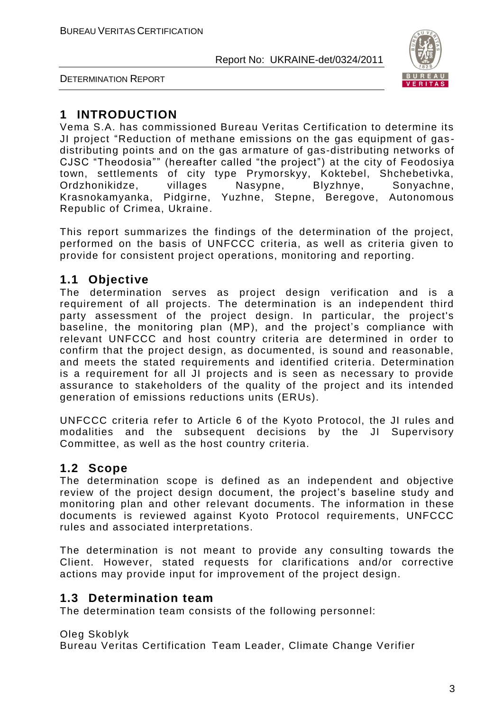



# **1 INTRODUCTION**

Vema S.A. has commissioned Bureau Veritas Certification to determine its JI project "Reduction of methane emissions on the gas equipment of gas distributing points and on the gas armature of gas-distributing networks of CJSC "Theodosia"" (hereafter called "the project") at the city of Feodosiya town, settlements of city type Prymorskyy, Koktebel, Shchebetivka, Ordzhonikidze, villages Nasypne, Blyzhnye, Sonyachne, Krasnokamyanka, Pidgirne, Yuzhne, Stepne, Beregove, Autonomous Republic of Crimea, Ukraine.

This report summarizes the findings of the determination of the project, performed on the basis of UNFCCC criteria, as well as criteria given to provide for consistent project operations, monitoring and reporting.

# **1.1 Objective**

The determination serves as project design verification and is a requirement of all projects. The determination is an independent third party assessment of the project design. In particular, the project's baseline, the monitoring plan (MP), and the project's compliance with relevant UNFCCC and host country criteria are determined in order to confirm that the project design, as documented, is sound and reasonable, and meets the stated requirements and identified criteria. Determination is a requirement for all JI projects and is seen as necessary to provide assurance to stakeholders of the quality of the project and its intended generation of emissions reductions units (ERUs).

UNFCCC criteria refer to Article 6 of the Kyoto Protocol, the JI rules and modalities and the subsequent decisions by the JI Supervisory Committee, as well as the host country criteria.

# **1.2 Scope**

The determination scope is defined as an independent and objective review of the project design document, the project's baseline study and monitoring plan and other relevant documents. The information in these documents is reviewed against Kyoto Protocol requirements, UNFCCC rules and associated interpretations.

The determination is not meant to provide any consulting towards the Client. However, stated requests for clarifications and/or corrective actions may provide input for improvement of the project design.

### **1.3 Determination team**

The determination team consists of the following personnel:

Oleg Skoblyk

Bureau Veritas Certification Team Leader, Climate Change Verifier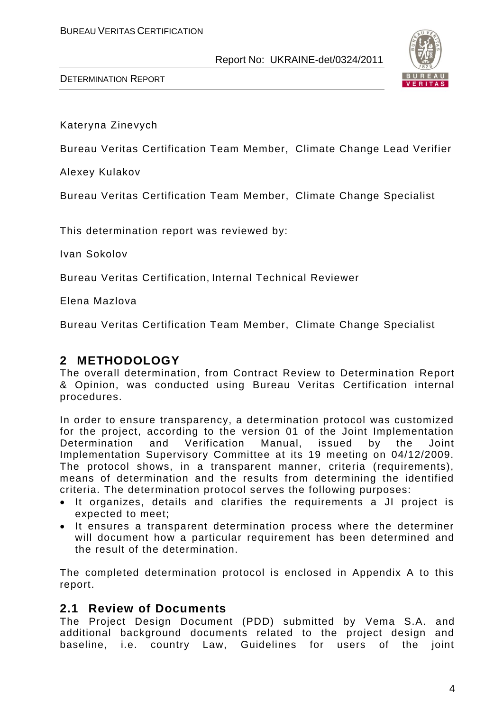

Kateryna Zinevych

Bureau Veritas Certification Team Member, Climate Change Lead Verifier

Alexey Kulakov

Bureau Veritas Certification Team Member, Climate Change Specialist

This determination report was reviewed by:

Ivan Sokolov

Bureau Veritas Certification, Internal Technical Reviewer

Elena Mazlova

Bureau Veritas Certification Team Member, Climate Change Specialist

# **2 METHODOLOGY**

The overall determination, from Contract Review to Determination Report & Opinion, was conducted using Bureau Veritas Certification internal procedures.

In order to ensure transparency, a determination protocol was customized for the project, according to the version 01 of the Joint Implementation Determination and Verification Manual, issued by the Joint Implementation Supervisory Committee at its 19 meeting on 04/12/2009. The protocol shows, in a transparent manner, criteria (requirements), means of determination and the results from determining the identified criteria. The determination protocol serves the following purposes:

- It organizes, details and clarifies the requirements a JI project is expected to meet;
- It ensures a transparent determination process where the determiner will document how a particular requirement has been determined and the result of the determination.

The completed determination protocol is enclosed in Appendix A to this report.

### **2.1 Review of Documents**

The Project Design Document (PDD) submitted by Vema S.A. and additional background documents related to the project design and baseline, i.e. country Law, Guidelines for users of the joint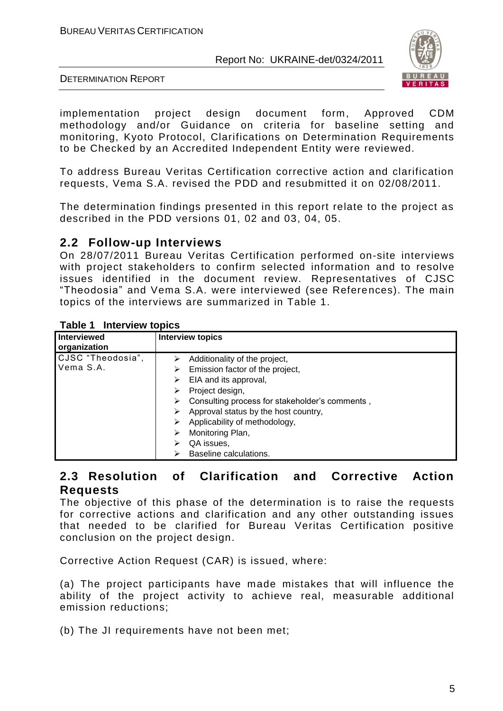

DETERMINATION REPORT

implementation project design document form, Approved CDM methodology and/or Guidance on criteria for baseline setting and monitoring, Kyoto Protocol, Clarifications on Determination Requirements to be Checked by an Accredited Independent Entity were reviewed.

To address Bureau Veritas Certification corrective action and clarification requests, Vema S.A. revised the PDD and resubmitted it on 02/08/2011.

The determination findings presented in this report relate to the project as described in the PDD versions 01, 02 and 03, 04, 05.

# **2.2 Follow-up Interviews**

On 28/07/2011 Bureau Veritas Certification performed on-site interviews with project stakeholders to confirm selected information and to resolve issues identified in the document review. Representatives of CJSC "Theodosia" and Vema S.A. were interviewed (see References). The main topics of the interviews are summarized in Table 1.

| <b>I ADIG I</b> IIIIGI VIGW LODICS |                                                |
|------------------------------------|------------------------------------------------|
| Interviewed<br>organization        | <b>Interview topics</b>                        |
| CJSC "Theodosia",                  | Additionality of the project,                  |
| Vema S.A.                          | Emission factor of the project,                |
|                                    | EIA and its approval,                          |
|                                    | Project design,                                |
|                                    | Consulting process for stakeholder's comments, |
|                                    | Approval status by the host country,           |
|                                    | Applicability of methodology,                  |
|                                    | Monitoring Plan,<br>⋗                          |
|                                    | QA issues,                                     |
|                                    | Baseline calculations.                         |

#### **Table 1 Interview topics**

### **2.3 Resolution of Clarification and Corrective Action Requests**

The objective of this phase of the determination is to raise the requests for corrective actions and clarification and any other outstanding issues that needed to be clarified for Bureau Veritas Certification positive conclusion on the project design.

Corrective Action Request (CAR) is issued, where:

(a) The project participants have made mistakes that will influence the ability of the project activity to achieve real, measurable additional emission reductions;

(b) The JI requirements have not been met;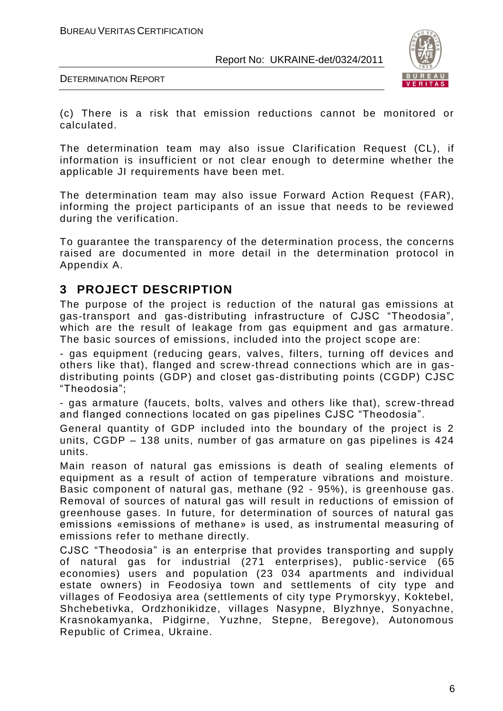

DETERMINATION REPORT

(c) There is a risk that emission reductions cannot be monitored or calculated.

The determination team may also issue Clarification Request (CL), if information is insufficient or not clear enough to determine whether the applicable JI requirements have been met.

The determination team may also issue Forward Action Request (FAR), informing the project participants of an issue that needs to be reviewed during the verification.

To guarantee the transparency of the determination process, the concerns raised are documented in more detail in the determination protocol in Appendix A.

# **3 PROJECT DESCRIPTION**

The purpose of the project is reduction of the natural gas emissions at gas-transport and gas-distributing infrastructure of CJSC "Theodosia", which are the result of leakage from gas equipment and gas armature. The basic sources of emissions, included into the project scope are:

- gas equipment (reducing gears, valves, filters, turning off devices and others like that), flanged and screw-thread connections which are in gas distributing points (GDP) and closet gas-distributing points (CGDP) CJSC "Theodosia";

- gas armature (faucets, bolts, valves and others like that), screw -thread and flanged connections located on gas pipelines CJSC "Theodosia".

General quantity of GDP included into the boundary of the project is 2 units, CGDP – 138 units, number of gas armature on gas pipelines is 424 units.

Main reason of natural gas emissions is death of sealing elements of equipment as a result of action of temperature vibrations and moisture. Basic component of natural gas, methane (92 - 95%), is greenhouse gas. Removal of sources of natural gas will result in reductions of emission of greenhouse gases. In future, for determination of sources of natural gas emissions «emissions of methane» is used, as instrumental measuring of emissions refer to methane directly.

CJSC "Theodosia" is an enterprise that provides transporting and supply of natural gas for industrial (271 enterprises), public -service (65 economies) users and population (23 034 apartments and individual estate owners) in Feodosiya town and settlements of city type and villages of Feodosiya area (settlements of city type Prymorskyy, Koktebel, Shchebetivka, Ordzhonikidze, villages Nasypne, Blyzhnye, Sonyachne, Krasnokamyanka, Pidgirne, Yuzhne, Stepne, Beregove), Autonomous Republic of Crimea, Ukraine.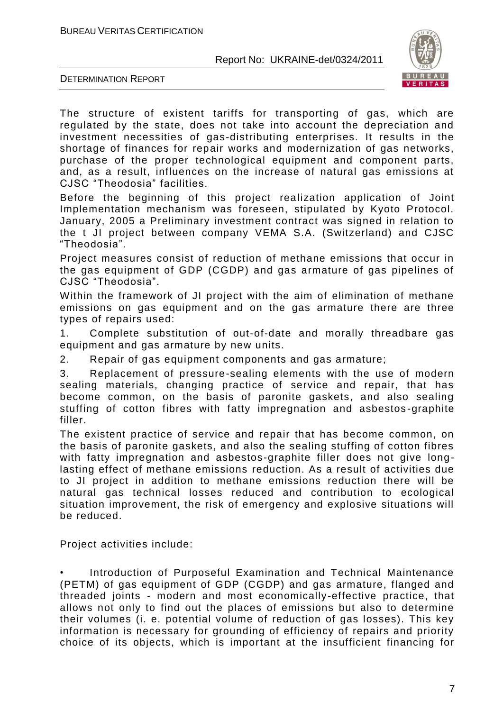

DETERMINATION REPORT

The structure of existent tariffs for transporting of gas, which are regulated by the state, does not take into account the depreciation and investment necessities of gas-distributing enterprises. It results in the shortage of finances for repair works and modernization of gas networks, purchase of the proper technological equipment and component parts, and, as a result, influences on the increase of natural gas emissions at CJSC "Theodosia" facilities.

Before the beginning of this project realization application of Joint Implementation mechanism was foreseen, stipulated by Kyoto Protocol. January, 2005 a Preliminary investment contract was signed in relation to the t JI project between company VEMA S.A. (Switzerland) and CJSC "Theodosia".

Project measures consist of reduction of methane emissions that occur in the gas equipment of GDP (CGDP) and gas armature of gas pipelines of CJSC "Theodosia".

Within the framework of JI project with the aim of elimination of methane emissions on gas equipment and on the gas armature there are three types of repairs used:

1. Complete substitution of out-of-date and morally threadbare gas equipment and gas armature by new units.

2. Repair of gas equipment components and gas armature;

3. Replacement of pressure-sealing elements with the use of modern sealing materials, changing practice of service and repair, that has become common, on the basis of paronite gaskets, and also sealing stuffing of cotton fibres with fatty impregnation and asbestos -graphite filler.

The existent practice of service and repair that has become common, on the basis of paronite gaskets, and also the sealing stuffing of cotton fibres with fatty impregnation and asbestos-graphite filler does not give longlasting effect of methane emissions reduction. As a result of activities due to JI project in addition to methane emissions reduction there will be natural gas technical losses reduced and contribution to ecological situation improvement, the risk of emergency and explosive situations will be reduced.

Project activities include:

• Introduction of Purposeful Examination and Technical Maintenance (PETM) of gas equipment of GDP (CGDP) and gas armature, flanged and threaded joints - modern and most economically-effective practice, that allows not only to find out the places of emissions but also to determine their volumes (i. e. potential volume of reduction of gas losses). This key information is necessary for grounding of efficiency of repairs and priority choice of its objects, which is important at the insufficient financing for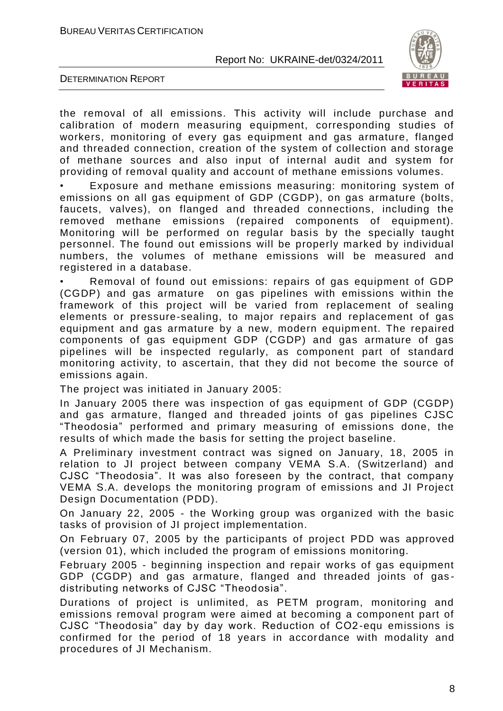

DETERMINATION REPORT

the removal of all emissions. This activity will include purchase and calibration of modern measuring equipment, corresponding studies of workers, monitoring of every gas equipment and gas armature, flanged and threaded connection, creation of the system of collection and storage of methane sources and also input of internal audit and system for providing of removal quality and account of methane emissions volumes.

Exposure and methane emissions measuring: monitoring system of emissions on all gas equipment of GDP (CGDP), on gas armature (bolts, faucets, valves), on flanged and threaded connections, including the removed methane emissions (repaired components of equipment). Monitoring will be performed on regular basis by the specially taught personnel. The found out emissions will be properly marked by individual numbers, the volumes of methane emissions will be measured and registered in a database.

• Removal of found out emissions: repairs of gas equipment of GDP (CGDP) and gas armature on gas pipelines with emissions within the framework of this project will be varied from replacement of sealing elements or pressure-sealing, to major repairs and replacement of gas equipment and gas armature by a new, modern equipment. The repaired components of gas equipment GDP (CGDP) and gas armature of gas pipelines will be inspected regularly, as component part of standard monitoring activity, to ascertain, that they did not become the source of emissions again.

The project was initiated in January 2005:

In January 2005 there was inspection of gas equipment of GDP (CGDP) and gas armature, flanged and threaded joints of gas pipelines CJSC "Theodosia" performed and primary measuring of emissions done, the results of which made the basis for setting the project baseline.

A Preliminary investment contract was signed on January, 18, 2005 in relation to JI project between company VEMA S.A. (Switzerland) and CJSC "Theodosia". It was also foreseen by the contract, that company VEMA S.A. develops the monitoring program of emissions and JI Project Design Documentation (PDD).

On January 22, 2005 - the Working group was organized with the basic tasks of provision of JI project implementation.

On February 07, 2005 by the participants of project PDD was approved (version 01), which included the program of emissions monitoring.

February 2005 - beginning inspection and repair works of gas equipment GDP (CGDP) and gas armature, flanged and threaded joints of gas distributing networks of CJSC "Theodosia".

Durations of project is unlimited, as PETM program, monitoring and emissions removal program were aimed at becoming a component part of CJSC "Theodosia" day by day work. Reduction of CО2 -equ emissions is confirmed for the period of 18 years in accordance with modality and procedures of JI Mechanism.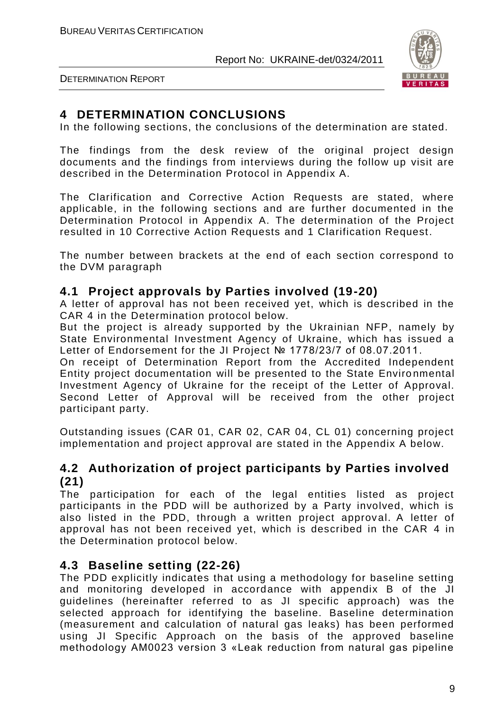

DETERMINATION REPORT

# **4 DETERMINATION CONCLUSIONS**

In the following sections, the conclusions of the determination are stated.

The findings from the desk review of the original project design documents and the findings from interviews during the follow up visit are described in the Determination Protocol in Appendix A.

The Clarification and Corrective Action Requests are stated, where applicable, in the following sections and are further documented in the Determination Protocol in Appendix A. The determination of the Project resulted in 10 Corrective Action Requests and 1 Clarification Request.

The number between brackets at the end of each section correspond to the DVM paragraph

# **4.1 Project approvals by Parties involved (19-20)**

A letter of approval has not been received yet, which is described in the CAR 4 in the Determination protocol below.

But the project is already supported by the Ukrainian NFP, namely by State Environmental Investment Agency of Ukraine, which has issued a Letter of Endorsement for the JI Project № 1778/23/7 of 08.07.2011.

On receipt of Determination Report from the Accredited Independent Entity project documentation will be presented to the State Enviro nmental Investment Agency of Ukraine for the receipt of the Letter of Approval. Second Letter of Approval will be received from the other project participant party.

Outstanding issues (CAR 01, CAR 02, CAR 04, CL 01) concerning project implementation and project approval are stated in the Appendix A below.

# **4.2 Authorization of project participants by Parties involved (21)**

The participation for each of the legal entities listed as project participants in the PDD will be authorized by a Party involved, which is also listed in the PDD, through a written project approval. A letter of approval has not been received yet, which is described in the CAR 4 in the Determination protocol below.

# **4.3 Baseline setting (22-26)**

The PDD explicitly indicates that using a methodology for baseline setting and monitoring developed in accordance with appendix B of the JI guidelines (hereinafter referred to as JI specific approach) was the selected approach for identifying the baseline. Baseline determination (measurement and calculation of natural gas leaks) has been performed using JI Specific Approach on the basis of the approved baseline methodology AM0023 version 3 «Leak reduction from natural gas pipeline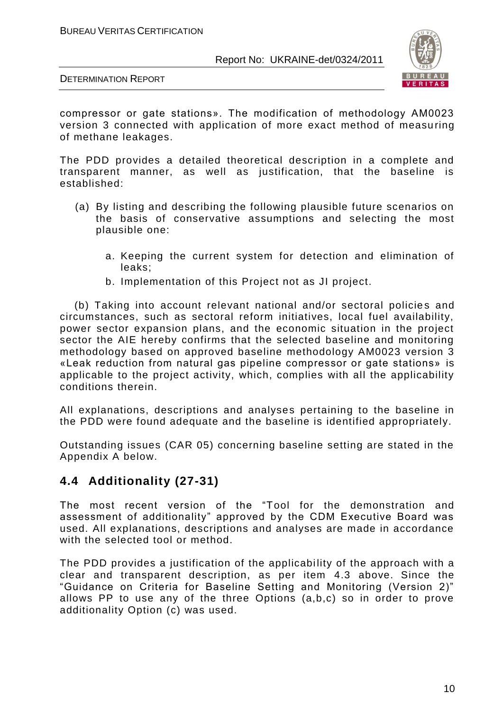

DETERMINATION REPORT

compressor or gate stations». The modification of methodology AM0023 version 3 connected with application of more exact method of measu ring of methane leakages.

The PDD provides a detailed theoretical description in a complete and transparent manner, as well as justification, that the baseline is established:

- (a) By listing and describing the following plausible future scenarios on the basis of conservative assumptions and selecting the most plausible one:
	- a. Keeping the current system for detection and elimination of leaks;
	- b. Implementation of this Project not as JI project.

(b) Taking into account relevant national and/or sectoral policies and circumstances, such as sectoral reform initiatives, local fuel availability, power sector expansion plans, and the economic situation in the project sector the AIE hereby confirms that the selected baseline and monitoring methodology based on approved baseline methodology AM0023 version 3 «Leak reduction from natural gas pipeline compressor or gate stations» is applicable to the project activity, which, complies with all the applicability conditions therein.

All explanations, descriptions and analyses pertaining to the baseline in the PDD were found adequate and the baseline is identified appropriately.

Outstanding issues (CAR 05) concerning baseline setting are stated in the Appendix A below.

# **4.4 Additionality (27-31)**

The most recent version of the "Tool for the demonstration and assessment of additionality" approved by the CDM Executive Board was used. All explanations, descriptions and analyses are made in accordance with the selected tool or method.

The PDD provides a justification of the applicability of the approach with a clear and transparent description, as per item 4.3 above. Since the "Guidance on Criteria for Baseline Setting and Monitoring (Version 2)" allows PP to use any of the three Options (a,b,c) so in order to prove additionality Option (c) was used.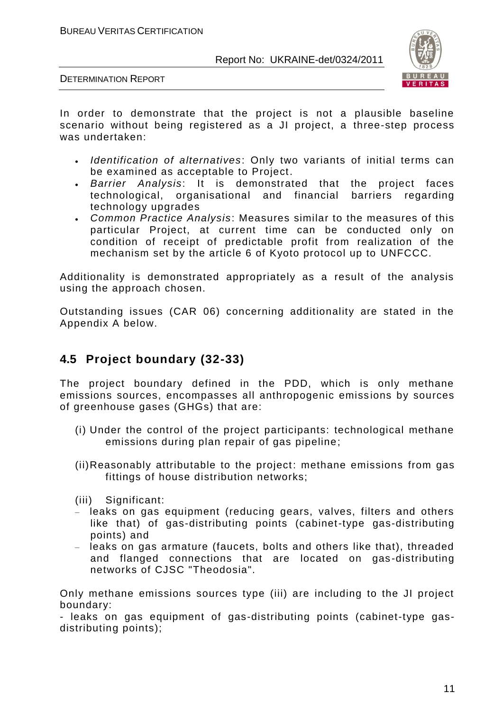

DETERMINATION REPORT

In order to demonstrate that the project is not a plausible baseline scenario without being registered as a JI project, a three-step process was undertaken:

- *Identification of alternatives*: Only two variants of initial terms can be examined as acceptable to Project.
- *Barrier Analysis*: It is demonstrated that the project faces technological, organisational and financial barriers regarding technology upgrades
- *Common Practice Analysis*: Measures similar to the measures of this particular Project, at current time can be conducted only on condition of receipt of predictable profit from realization of the mechanism set by the article 6 of Kyoto protocol up to UNFCCC.

Additionality is demonstrated appropriately as a result of the analysis using the approach chosen.

Outstanding issues (CAR 06) concerning additionality are stated in the Appendix A below.

# **4.5 Project boundary (32-33)**

The project boundary defined in the PDD, which is only methane emissions sources, encompasses all anthropogenic emissions by sources of greenhouse gases (GHGs) that are:

- (i) Under the control of the project participants: technological methane emissions during plan repair of gas pipeline;
- (ii)Reasonably attributable to the project: methane emissions from gas fittings of house distribution networks;
- (iii) Significant:
- leaks on gas equipment (reducing gears, valves, filters and others like that) of gas-distributing points (cabinet-type gas-distributing points) and
- leaks on gas armature (faucets, bolts and others like that), threaded and flanged connections that are located on gas-distributing networks of CJSC "Theodosia".

Only methane emissions sources type (iii) are including to the JI project boundary:

- leaks on gas equipment of gas-distributing points (cabinet-type gasdistributing points);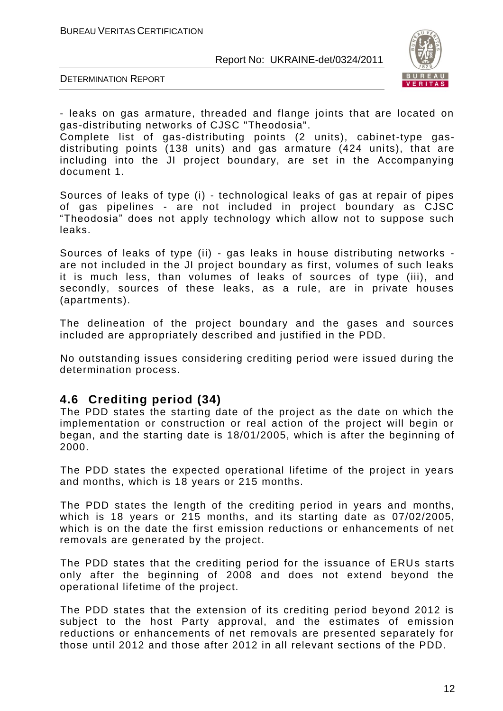

DETERMINATION REPORT

- leaks on gas armature, threaded and flange joints that are located on gas-distributing networks of CJSC "Theodosia".

Complete list of gas-distributing points (2 units), cabinet-type gasdistributing points (138 units) and gas armature  $(424 \text{ units})$ , that are including into the JI project boundary, are set in the Accompanying document 1.

Sources of leaks of type (i) - technological leaks of gas at repair of pipes of gas pipelines - are not included in project boundary as CJSC "Theodosia" does not apply technology which allow not to suppose such leaks.

Sources of leaks of type (ii) - gas leaks in house distributing networks are not included in the JI project boundary as first, volumes of such leaks it is much less, than volumes of leaks of sources of type (iii), and secondly, sources of these leaks, as a rule, are in private houses (apartments).

The delineation of the project boundary and the gases and sources included are appropriately described and justified in the PDD.

No outstanding issues considering crediting period were issued during the determination process.

# **4.6 Crediting period (34)**

The PDD states the starting date of the project as the date on which the implementation or construction or real action of the project will begin or began, and the starting date is 18/01/2005, which is after the beginning of 2000.

The PDD states the expected operational lifetime of the project in years and months, which is 18 years or 215 months.

The PDD states the length of the crediting period in years and months, which is 18 years or 215 months, and its starting date as 07/02/2005, which is on the date the first emission reductions or enhancements of net removals are generated by the project.

The PDD states that the crediting period for the issuance of ERUs starts only after the beginning of 2008 and does not extend beyond the operational lifetime of the project.

The PDD states that the extension of its crediting period beyond 2012 is subject to the host Party approval, and the estimates of emission reductions or enhancements of net removals are presented separately for those until 2012 and those after 2012 in all relevant sections of the PDD.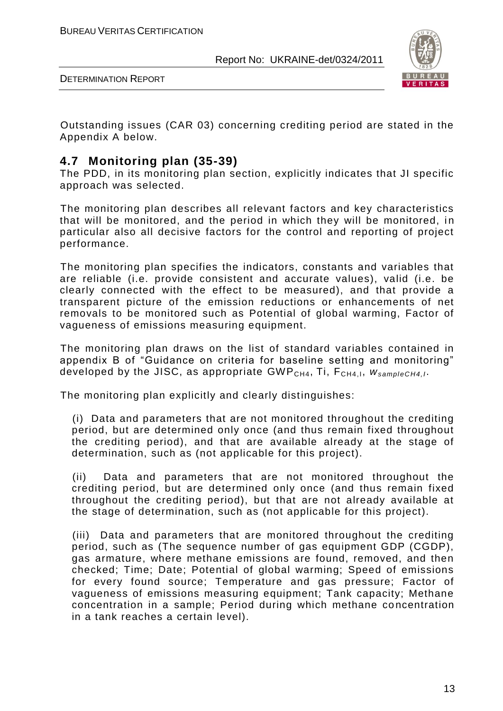

Outstanding issues (CAR 03) concerning crediting period are stated in the Appendix A below.

# **4.7 Monitoring plan (35-39)**

The PDD, in its monitoring plan section, explicitly indicates that JI specific approach was selected.

The monitoring plan describes all relevant factors and key characteristics that will be monitored, and the period in which they will be monitored, in particular also all decisive factors for the control and reporting of project performance.

The monitoring plan specifies the indicators, constants and variables that are reliable (i.e. provide consistent and accurate values), valid (i.e. be clearly connected with the effect to be measured), and that provide a transparent picture of the emission reductions or enhancements of net removals to be monitored such as Potential of global warming, Factor of vagueness of emissions measuring equipment.

The monitoring plan draws on the list of standard variables contained in appendix B of "Guidance on criteria for baseline setting and monitoring" developed by the JISC, as appropriate GWP<sub>CH4</sub>, Ti, F<sub>CH4, I</sub>,  $W_{\text{sampleCH4,1}}$ .

The monitoring plan explicitly and clearly distinguishes:

(i) Data and parameters that are not monitored throughout the crediting period, but are determined only once (and thus remain fixed throughout the crediting period), and that are available already at the stage of determination, such as (not applicable for this project).

(ii) Data and parameters that are not monitored throughout the crediting period, but are determined only once (and thus remain fixed throughout the crediting period), but that are not already available at the stage of determination, such as (not applicable for this project).

(iii) Data and parameters that are monitored throughout the crediting period, such as (The sequence number of gas equipment GDP (CGDP), gas armature, where methane emissions are found, removed, and then checked; Time; Date; Potential of global warming; Speed of emissions for every found source; Temperature and gas pressure; Factor of vagueness of emissions measuring equipment; Tank capacity; Methane concentration in a sample; Period during which methane concentration in a tank reaches a certain level).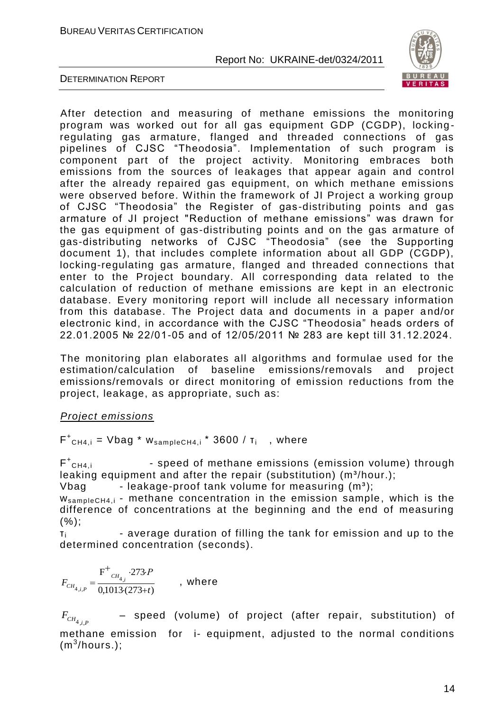

DETERMINATION REPORT

After detection and measuring of methane emissions the monitoring program was worked out for all gas equipment GDP (CGDP), locking regulating gas armature, flanged and threaded connections of gas pipelines of CJSC "Theodosia". Implementation of such program is component part of the project activity. Monitoring embraces both emissions from the sources of leakages that appear again and control after the already repaired gas equipment, on which methane emissions were observed before. Within the framework of JI Project a working group of CJSC "Theodosia" the Register of gas-distributing points and gas armature of JI project "Reduction of methane emissions" was drawn for the gas equipment of gas-distributing points and on the gas armature of gas-distributing networks of CJSC "Theodosia" (see the Supporting document 1), that includes complete information about all GDP (CGDP), locking-regulating gas armature, flanged and threaded connections that enter to the Project boundary. All corresponding data related to the calculation of reduction of methane emissions are kept in an electronic database. Every monitoring report will include all necessary information from this database. The Project data and documents in a paper a nd/or electronic kind, in accordance with the CJSC "Theodosia" heads orders of 22.01.2005 № 22/01-05 and of 12/05/2011 № 283 are kept till 31.12.2024.

The monitoring plan elaborates all algorithms and formulae used for the estimation/calculation of baseline emissions/removals and project emissions/removals or direct monitoring of emission reductions from the project, leakage, as appropriate, such as:

#### *Project emissions*

 $F^+$ <sub>CH4,i</sub> = Vbag \* w<sub>sampleCH4,i</sub> \* 3600 /  $\tau_i$  , where

 $F^+$ - speed of methane emissions (emission volume) through leaking equipment and after the repair (substitution)  $(m^3/hour.)$ ;

Vbag - leakage-proof tank volume for measuring  $(m^3)$ ;

 $W_{sampleCH4,i}$  - methane concentration in the emission sample, which is the difference of concentrations at the beginning and the end of measuring  $(%);$ 

 $T_i$  - average duration of filling the tank for emission and up to the determined concentration (seconds).

$$
F_{CH_{4,i,P}} = \frac{F^+_{CH_{4,i}} \cdot 273 \cdot P}{0,1013 \cdot (273+t)}
$$
, where

 $F_{CH_{4,i,P}}$ – speed (volume) of project (after repair, substitution) of methane emission for i- equipment, adjusted to the normal conditions  $(m^3/hours.)$ ;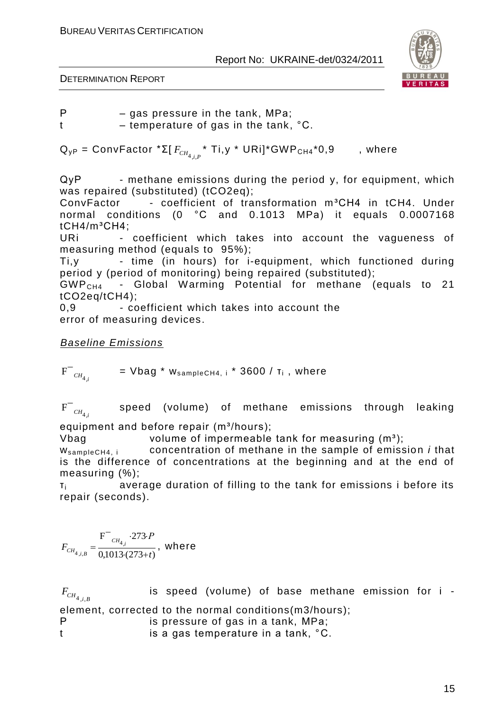

DETERMINATION REPORT

Р – gas pressure in the tank, МPа;

t – temperature of gas in the tank, °C.

 ${\sf Q}_{\sf yP}$  = ConvFactor \*Σ[  $F_{\mathit{CH}_{4,j,P}}$  \* Ti,y \* URi]\*GWP<sub>CH4</sub>\*0,9  $\qquad$  , where

 $QyP$  - methane emissions during the period y, for equipment, which was repaired (substituted) (tCO2eq);

ConvFactor - coefficient of transformation m<sup>3</sup>CH4 in tCH4. Under normal conditions (0 °С and 0.1013 MPа) it equals 0.0007168  $tCH4/m<sup>3</sup>CH4$ ;

URi - coefficient which takes into account the vagueness of measuring method (equals to 95%);

Ti,y - time (in hours) for i-equipment, which functioned during period y (period of monitoring) being repaired (substituted);

GWPCH4 - Global Warming Potential for methane (equals to 21 tCO2eq/tCH4);

0,9 *-* coefficient which takes into account the error of measuring devices.

*Baseline Emissions*

 $F^{-}$ <sub>*CH*<sub>4,*i*</sub></sup></sub>  $=$  Vbag  $*$  w $_{\sf sampleCH4, i}$   $*$  3600 /  $\sf r_i$  , where

 $F^{-}$ <sub>*CH*<sub>4,*i*</sub></sup></sub> speed (volume) of methane emissions through leaking

equipment and before repair  $(m^3/hours)$ ;

Vbag volume of impermeable tank for measuring  $(m<sup>3</sup>)$ ;

ws ampleCH4, i concentration of methane in the sample of emission *i* that is the difference of concentrations at the beginning and at the end of measuring (%);

τi average duration of filling to the tank for emissions i before its repair (seconds).

$$
F_{CH_{4,i,B}} = \frac{F^{-}{}_{CH_{4,i}} \cdot 273 \cdot P}{0,1013 \cdot (273+t)}, \text{ where}
$$

 $F_{CH_{4,i,B}}$ is speed (volume) of base methane emission for i element, corrected to the normal conditions(m3/hours); Р is pressure of gas in a tank, МPа; t is a gas temperature in a tank, °C.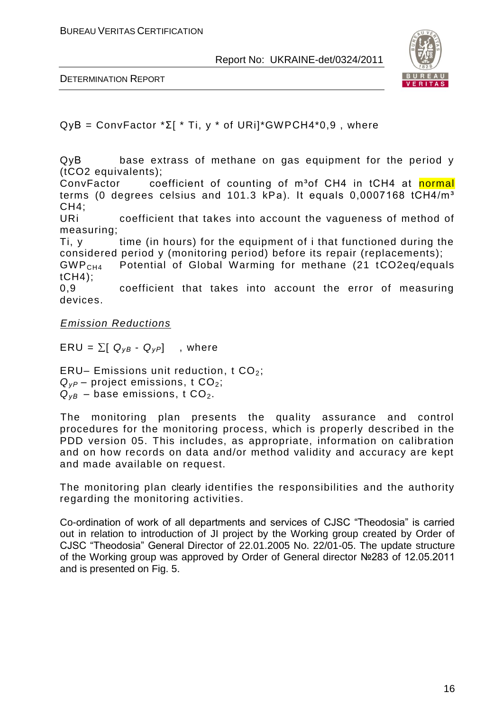

DETERMINATION REPORT

 $QVB = ConvFactor * \Sigma[ * Ti, y * of URi]*GWPCH4*0.9$ , where

QyВ base extrass of methane on gas equipment for the period y (tCO2 equivalents);

ConvFactor coefficient of counting of m<sup>3</sup>of CH4 in tCH4 at normal terms (0 degrees celsius and 101.3 kPa). It equals 0,0007168 tCH4/m<sup>3</sup>  $CH4$ ;

URi coefficient that takes into account the vagueness of method of measuring;

Ti, y time (in hours) for the equipment of i that functioned during the considered period y (monitoring period) before its repair (replacements);

GWP<sub>CH4</sub> Potential of Global Warming for methane (21 tCO2eq/equals tCH4);

0,9 coefficient that takes into account the error of measuring devices.

*Emission Reductions*

 $ERU = \sum [ Q_{VB} - Q_{VP} ]$ , where

ERU– Emissions unit reduction, t  $CO<sub>2</sub>$ ;  $Q_{VP}$  – project emissions, t CO<sub>2</sub>;  $Q_{VB}$  – base emissions, t CO<sub>2</sub>.

The monitoring plan presents the quality assurance and control procedures for the monitoring process, which is properly described in the PDD version 05. This includes, as appropriate, information on calibration and on how records on data and/or method validity and accuracy are kept and made available on request.

The monitoring plan clearly identifies the responsibilities and the authority regarding the monitoring activities.

Co-ordination of work of all departments and services of CJSC "Theodosia" is carried out in relation to introduction of JI project by the Working group created by Order of CJSC "Theodosia" General Director of 22.01.2005 No. 22/01-05. The update structure of the Working group was approved by Order of General director №283 of 12.05.2011 and is presented on Fig. 5.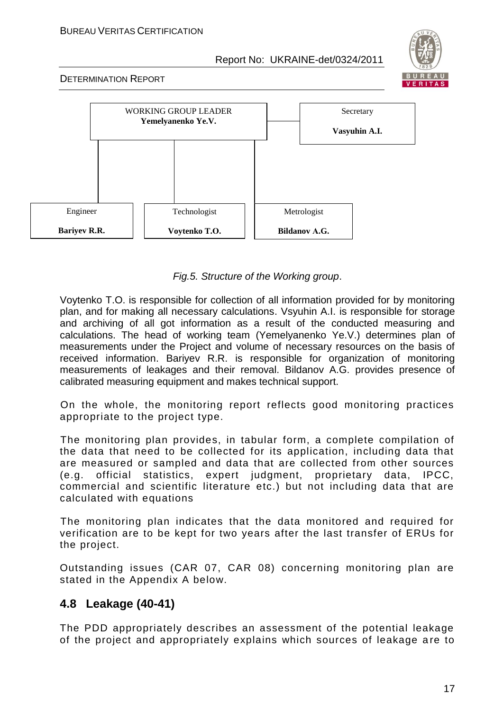#### BUREAU VERITAS CERTIFICATION

Report No: UKRAINE-det/0324/2011



#### DETERMINATION REPORT



*Fig.5. Structure of the Working group*.

Voytenko T.O. is responsible for collection of all information provided for by monitoring plan, and for making all necessary calculations. Vsyuhin A.I. is responsible for storage and archiving of all got information as a result of the conducted measuring and calculations. The head of working team (Yemelyanenko Ye.V.) determines plan of measurements under the Project and volume of necessary resources on the basis of received information. Bariyev R.R. is responsible for organization of monitoring measurements of leakages and their removal. Bildanov A.G. provides presence of calibrated measuring equipment and makes technical support.

On the whole, the monitoring report reflects good monitoring practices appropriate to the project type.

The monitoring plan provides, in tabular form, a complete compilation of the data that need to be collected for its application, including data that are measured or sampled and data that are collected from other sources (e.g. official statistics, expert judgment, proprietary data, IPCC, commercial and scientific literature etc.) but not including data that are calculated with equations

The monitoring plan indicates that the data monitored and required for verification are to be kept for two years after the last transfer of ERUs for the project.

Outstanding issues (CAR 07, CAR 08) concerning monitoring plan are stated in the Appendix A below.

# **4.8 Leakage (40-41)**

The PDD appropriately describes an assessment of the potential leakage of the project and appropriately explains which sources of leakage a re to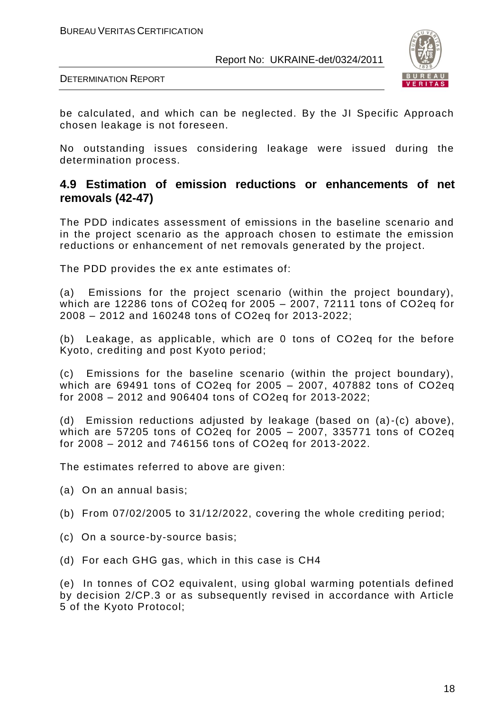

DETERMINATION REPORT

be calculated, and which can be neglected. By the JI Specific Approach chosen leakage is not foreseen.

No outstanding issues considering leakage were issued during the determination process.

### **4.9 Estimation of emission reductions or enhancements of net removals (42-47)**

The PDD indicates assessment of emissions in the baseline scenario and in the project scenario as the approach chosen to estimate the emission reductions or enhancement of net removals generated by the project.

The PDD provides the ex ante estimates of:

(a) Emissions for the project scenario (within the project boundary), which are 12286 tons of CO2eq for 2005 – 2007, 72111 tons of CO2eq for 2008 – 2012 and 160248 tons of CO2eq for 2013-2022;

(b) Leakage, as applicable, which are 0 tons of CO2eq for the before Kyoto, crediting and post Kyoto period;

(c) Emissions for the baseline scenario (within the project boundary), which are 69491 tons of CO2eq for 2005 – 2007, 407882 tons of CO2eq for 2008 – 2012 and 906404 tons of CO2eq for 2013-2022;

(d) Emission reductions adjusted by leakage (based on (a)-(c) above), which are 57205 tons of CO2eq for 2005 – 2007, 335771 tons of CO2eq for 2008 – 2012 and 746156 tons of CO2eq for 2013-2022.

The estimates referred to above are given:

- (a) On an annual basis;
- (b) From 07/02/2005 to 31/12/2022, covering the whole crediting period;
- (c) On a source-by-source basis;
- (d) For each GHG gas, which in this case is CH4

(e) In tonnes of CO2 equivalent, using global warming potentials defined by decision 2/CP.3 or as subsequently revised in accordance with Article 5 of the Kyoto Protocol;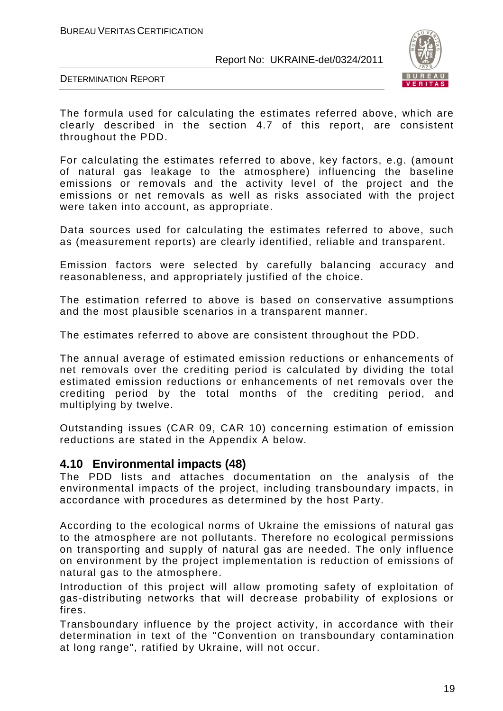

DETERMINATION REPORT

The formula used for calculating the estimates referred above, which are clearly described in the section 4.7 of this report, are consistent throughout the PDD.

For calculating the estimates referred to above, key factors, e.g. (amount of natural gas leakage to the atmosphere) influencing the baseline emissions or removals and the activity level of the project and the emissions or net removals as well as risks associated with the project were taken into account, as appropriate.

Data sources used for calculating the estimates referred to above, such as (measurement reports) are clearly identified, reliable and transparent.

Emission factors were selected by carefully balancing accuracy and reasonableness, and appropriately justified of the choice.

The estimation referred to above is based on conservative assumptions and the most plausible scenarios in a transparent manner.

The estimates referred to above are consistent throughout the PDD.

The annual average of estimated emission reductions or enhancements of net removals over the crediting period is calculated by dividing the total estimated emission reductions or enhancements of net removals over the crediting period by the total months of the crediting period, and multiplying by twelve.

Outstanding issues (CAR 09, CAR 10) concerning estimation of emission reductions are stated in the Appendix A below.

### **4.10 Environmental impacts (48)**

The PDD lists and attaches documentation on the analysis of the environmental impacts of the project, including transboundary impacts, in accordance with procedures as determined by the host Party.

According to the ecological norms of Ukraine the emissions of natural gas to the atmosphere are not pollutants. Therefore no ecological permissions on transporting and supply of natural gas are needed. The only influence on environment by the project implementation is reduction of emissions of natural gas to the atmosphere.

Introduction of this project will allow promoting safety of exploitation of gas-distributing networks that will decrease probability of explosions or fires.

Transboundary influence by the project activity, in accordance with their determination in text of the "Convention on transboundary contamination at long range", ratified by Ukraine, will not occur.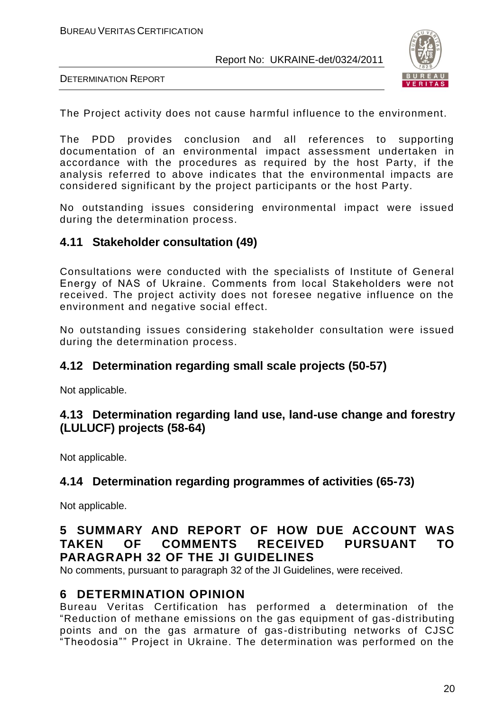

DETERMINATION REPORT

The Project activity does not cause harmful influence to the environment.

The PDD provides conclusion and all references to supporting documentation of an environmental impact assessment undertaken in accordance with the procedures as required by the host Party, if the analysis referred to above indicates that the environmental impacts are considered significant by the project participants or the host Party.

No outstanding issues considering environmental impact were issued during the determination process.

# **4.11 Stakeholder consultation (49)**

Consultations were conducted with the specialists of Institute of General Energy of NАS of Ukraine. Comments from local Stakeholders were not received. The project activity does not foresee negative influence on the environment and negative social effect.

No outstanding issues considering stakeholder consultation were issued during the determination process.

# **4.12 Determination regarding small scale projects (50-57)**

Not applicable.

# **4.13 Determination regarding land use, land-use change and forestry (LULUCF) projects (58-64)**

Not applicable.

# **4.14 Determination regarding programmes of activities (65-73)**

Not applicable.

# **5 SUMMARY AND REPORT OF HOW DUE ACCOUNT WAS TAKEN OF COMMENTS RECEIVED PURSUANT TO PARAGRAPH 32 OF THE JI GUIDELINES**

No comments, pursuant to paragraph 32 of the JI Guidelines, were received.

### **6 DETERMINATION OPINION**

Bureau Veritas Certification has performed a determination of the "Reduction of methane emissions on the gas equipment of gas -distributing points and on the gas armature of gas -distributing networks of CJSC "Theodosia"" Project in Ukraine. The determination was performed on the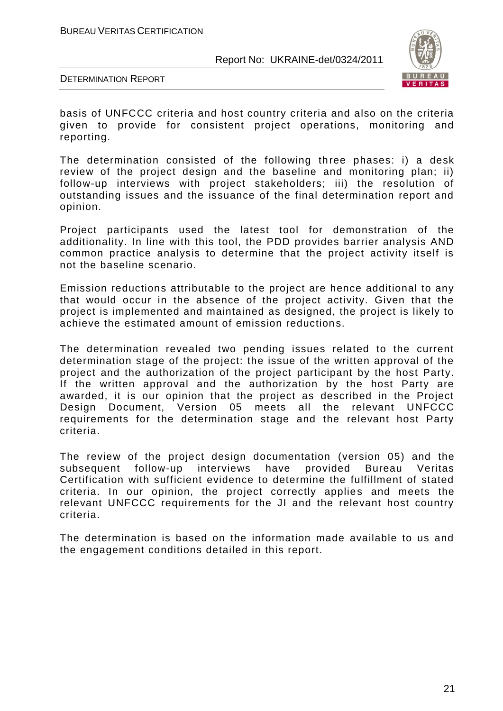

DETERMINATION REPORT

basis of UNFCCC criteria and host country criteria and also on the criteria given to provide for consistent project operations, monitoring and reporting.

The determination consisted of the following three phases: i) a desk review of the project design and the baseline and monitoring plan; ii) follow-up interviews with project stakeholders; iii) the resolution of outstanding issues and the issuance of the final determination report and opinion.

Project participants used the latest tool for demonstration of the additionality. In line with this tool, the PDD provides barrier analysis AND common practice analysis to determine that the project activity itself is not the baseline scenario.

Emission reductions attributable to the project are hence additional to any that would occur in the absence of the project activity. Given that the project is implemented and maintained as designed, the project is likely to achieve the estimated amount of emission reductions.

The determination revealed two pending issues related to the current determination stage of the project: the issue of the written approval of the project and the authorization of the project participant by the host Party. If the written approval and the authorization by the host Party are awarded, it is our opinion that the project as described in the Project Design Document, Version 05 meets all the relevant UNFCCC requirements for the determination stage and the relevant host Party criteria.

The review of the project design documentation (version 05) and the subsequent follow-up interviews have provided Bureau Veritas Certification with sufficient evidence to determine the fulfillment of stated criteria. In our opinion, the project correctly applies and meets the relevant UNFCCC requirements for the JI and the relevant host country criteria.

The determination is based on the information made available to us and the engagement conditions detailed in this report.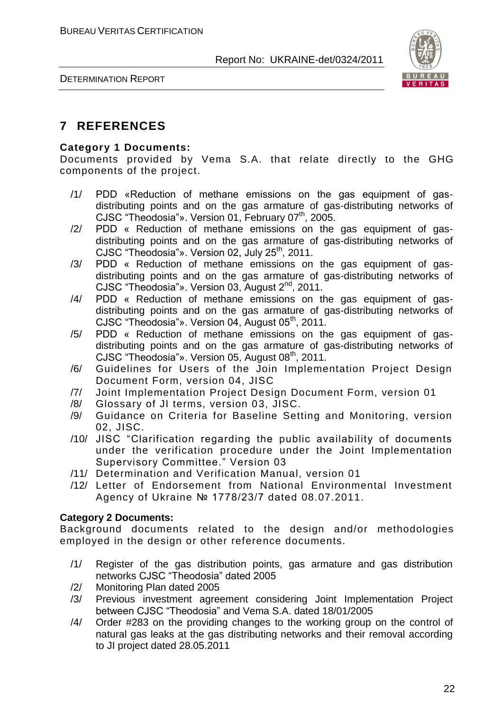

# **7 REFERENCES**

#### **Category 1 Documents:**

Documents provided by Vema S.A. that relate directly to the GHG components of the project.

- /1/ PDD «Reduction of methane emissions on the gas equipment of gasdistributing points and on the gas armature of gas-distributing networks of CJSC "Theodosia"». Version 01, February  $07<sup>th</sup>$ , 2005.
- /2/ PDD « Reduction of methane emissions on the gas equipment of gasdistributing points and on the gas armature of gas-distributing networks of CJSC "Theodosia"». Version 02, July  $25<sup>th</sup>$ , 2011.
- /3/ PDD « Reduction of methane emissions on the gas equipment of gasdistributing points and on the gas armature of gas-distributing networks of CJSC "Theodosia"». Version 03, August 2<sup>nd</sup>, 2011.
- /4/ PDD « Reduction of methane emissions on the gas equipment of gasdistributing points and on the gas armature of gas-distributing networks of CJSC "Theodosia"». Version 04, August 05<sup>th</sup>, 2011.
- /5/ PDD « Reduction of methane emissions on the gas equipment of gasdistributing points and on the gas armature of gas-distributing networks of CJSC "Theodosia"». Version 05, August 08<sup>th</sup>, 2011.
- /6/ Guidelines for Users of the Join Implementation Project Design Document Form, version 04, JISC
- /7/ Joint Implementation Project Design Document Form, version 01
- /8/ Glossary of JI terms, version 03, JISC.
- /9/ Guidance on Criteria for Baseline Setting and Monitoring, version 02, JISC.
- /10/ JISC "Clarification regarding the public availability of documents under the verification procedure under the Joint Implementation Supervisory Committee." Version 03
- /11/ Determination and Verification Manual, version 01
- /12/ Letter of Endorsement from National Environmental Investment Agency of Ukraine № 1778/23/7 dated 08.07.2011.

#### **Category 2 Documents:**

Background documents related to the design and/or methodologies employed in the design or other reference documents.

- /1/ Register of the gas distribution points, gas armature and gas distribution networks CJSC "Theodosia" dated 2005
- /2/ Monitoring Plan dated 2005
- /3/ Previous investment agreement considering Joint Implementation Project between CJSC "Theodosia" and Vema S.A. dated 18/01/2005
- /4/ Order #283 on the providing changes to the working group on the control of natural gas leaks at the gas distributing networks and their removal according to JI project dated 28.05.2011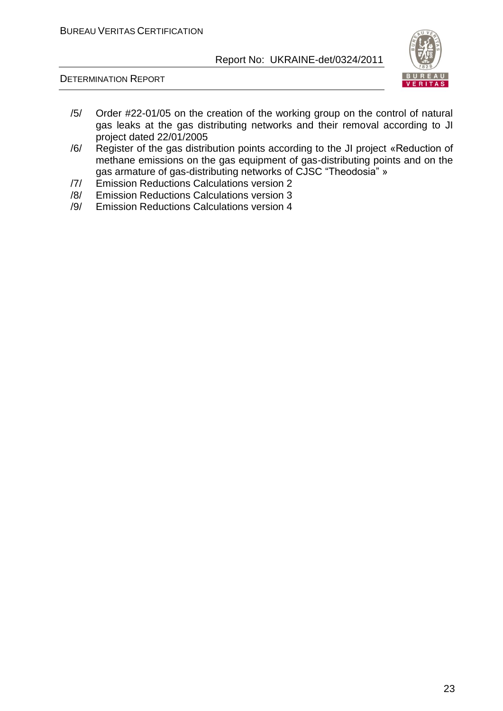

DETERMINATION REPORT

- /5/ Order #22-01/05 on the creation of the working group on the control of natural gas leaks at the gas distributing networks and their removal according to JI project dated 22/01/2005
- /6/ Register of the gas distribution points according to the JI project «Reduction of methane emissions on the gas equipment of gas-distributing points and on the gas armature of gas-distributing networks of CJSC "Theodosia" »
- /7/ Emission Reductions Calculations version 2
- /8/ Emission Reductions Calculations version 3
- /9/ Emission Reductions Calculations version 4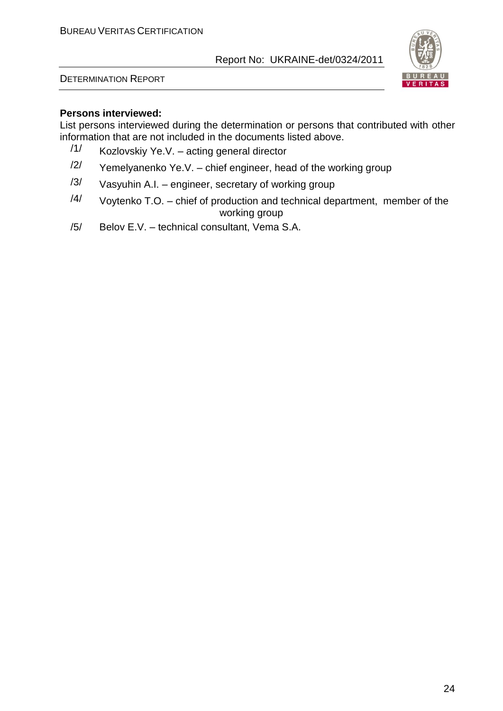DETERMINATION REPORT



#### **Persons interviewed:**

List persons interviewed during the determination or persons that contributed with other information that are not included in the documents listed above.

- /1/ Kozlovskiy Ye.V. acting general director
- $\frac{12}{1}$  Yemelyanenko Ye.V. chief engineer, head of the working group
- $/3/$  Vasyuhin A.I. engineer, secretary of working group
- $/4/$  Voytenko T.O. chief of production and technical department, member of the working group
- /5/ Belov E.V. technical consultant, Vema S.A.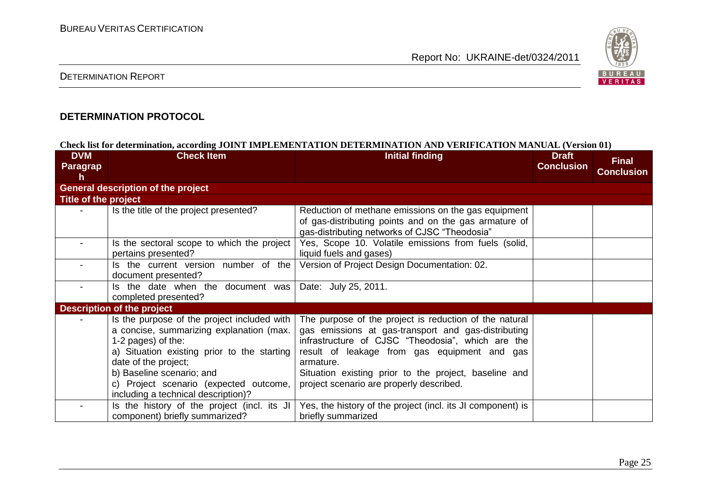

### DETERMINATION REPORT

#### **DETERMINATION PROTOCOL**

#### **Check list for determination, according JOINT IMPLEMENTATION DETERMINATION AND VERIFICATION MANUAL (Version 01)**

| <b>DVM</b><br><b>Paragrap</b><br>h. | <b>Check Item</b>                                                                                                                                                                                                                                                                                    | <b>Initial finding</b>                                                                                                                                                                                                                                                                                                               | <b>Draft</b><br><b>Conclusion</b> | <b>Final</b><br><b>Conclusion</b> |
|-------------------------------------|------------------------------------------------------------------------------------------------------------------------------------------------------------------------------------------------------------------------------------------------------------------------------------------------------|--------------------------------------------------------------------------------------------------------------------------------------------------------------------------------------------------------------------------------------------------------------------------------------------------------------------------------------|-----------------------------------|-----------------------------------|
|                                     | <b>General description of the project</b>                                                                                                                                                                                                                                                            |                                                                                                                                                                                                                                                                                                                                      |                                   |                                   |
| Title of the project                |                                                                                                                                                                                                                                                                                                      |                                                                                                                                                                                                                                                                                                                                      |                                   |                                   |
|                                     | Is the title of the project presented?                                                                                                                                                                                                                                                               | Reduction of methane emissions on the gas equipment<br>of gas-distributing points and on the gas armature of<br>gas-distributing networks of CJSC "Theodosia"                                                                                                                                                                        |                                   |                                   |
|                                     | Is the sectoral scope to which the project<br>pertains presented?                                                                                                                                                                                                                                    | Yes, Scope 10. Volatile emissions from fuels (solid,<br>liquid fuels and gases)                                                                                                                                                                                                                                                      |                                   |                                   |
|                                     | Is the current version number of the<br>document presented?                                                                                                                                                                                                                                          | Version of Project Design Documentation: 02.                                                                                                                                                                                                                                                                                         |                                   |                                   |
|                                     | Is the date when the document was<br>completed presented?                                                                                                                                                                                                                                            | Date: July 25, 2011.                                                                                                                                                                                                                                                                                                                 |                                   |                                   |
|                                     | <b>Description of the project</b>                                                                                                                                                                                                                                                                    |                                                                                                                                                                                                                                                                                                                                      |                                   |                                   |
|                                     | Is the purpose of the project included with  <br>a concise, summarizing explanation (max.<br>1-2 pages) of the:<br>a) Situation existing prior to the starting<br>date of the project;<br>b) Baseline scenario; and<br>c) Project scenario (expected outcome,<br>including a technical description)? | The purpose of the project is reduction of the natural<br>gas emissions at gas-transport and gas-distributing<br>infrastructure of CJSC "Theodosia", which are the<br>result of leakage from gas equipment and gas<br>armature.<br>Situation existing prior to the project, baseline and<br>project scenario are properly described. |                                   |                                   |
|                                     | Is the history of the project (incl. its JI<br>component) briefly summarized?                                                                                                                                                                                                                        | Yes, the history of the project (incl. its JI component) is<br>briefly summarized                                                                                                                                                                                                                                                    |                                   |                                   |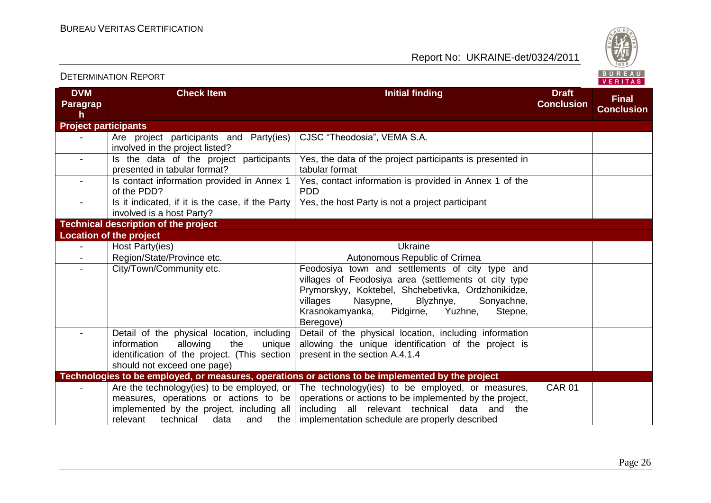

| <b>DVM</b><br><b>Paragrap</b><br>h | <b>Check Item</b>                                                                                                                                                                      | <b>Initial finding</b>                                                                                                                                                                                                                                                              | <b>Draft</b><br><b>Conclusion</b> | <b>Final</b><br><b>Conclusion</b> |
|------------------------------------|----------------------------------------------------------------------------------------------------------------------------------------------------------------------------------------|-------------------------------------------------------------------------------------------------------------------------------------------------------------------------------------------------------------------------------------------------------------------------------------|-----------------------------------|-----------------------------------|
| <b>Project participants</b>        |                                                                                                                                                                                        |                                                                                                                                                                                                                                                                                     |                                   |                                   |
|                                    | Are project participants and Party(ies)<br>involved in the project listed?                                                                                                             | CJSC "Theodosia", VEMA S.A.                                                                                                                                                                                                                                                         |                                   |                                   |
| $\blacksquare$                     | Is the data of the project participants<br>presented in tabular format?                                                                                                                | Yes, the data of the project participants is presented in<br>tabular format                                                                                                                                                                                                         |                                   |                                   |
|                                    | Is contact information provided in Annex 1<br>of the PDD?                                                                                                                              | Yes, contact information is provided in Annex 1 of the<br><b>PDD</b>                                                                                                                                                                                                                |                                   |                                   |
|                                    | Is it indicated, if it is the case, if the Party<br>involved is a host Party?                                                                                                          | Yes, the host Party is not a project participant                                                                                                                                                                                                                                    |                                   |                                   |
|                                    | <b>Technical description of the project</b>                                                                                                                                            |                                                                                                                                                                                                                                                                                     |                                   |                                   |
|                                    | <b>Location of the project</b>                                                                                                                                                         |                                                                                                                                                                                                                                                                                     |                                   |                                   |
| $\blacksquare$                     | Host Party(ies)                                                                                                                                                                        | Ukraine                                                                                                                                                                                                                                                                             |                                   |                                   |
|                                    | Region/State/Province etc.                                                                                                                                                             | Autonomous Republic of Crimea                                                                                                                                                                                                                                                       |                                   |                                   |
| $\overline{\phantom{a}}$           | City/Town/Community etc.                                                                                                                                                               | Feodosiya town and settlements of city type and<br>villages of Feodosiya area (settlements ot city type<br>Prymorskyy, Koktebel, Shchebetivka, Ordzhonikidze,<br>villages<br>Nasypne,<br>Blyzhnye,<br>Sonyachne,<br>Krasnokamyanka,<br>Pidgirne,<br>Yuzhne,<br>Stepne,<br>Beregove) |                                   |                                   |
|                                    | Detail of the physical location, including<br>information<br>allowing<br>the<br>unique<br>identification of the project. (This section<br>should not exceed one page)                  | Detail of the physical location, including information<br>allowing the unique identification of the project is<br>present in the section A.4.1.4                                                                                                                                    |                                   |                                   |
|                                    |                                                                                                                                                                                        | Technologies to be employed, or measures, operations or actions to be implemented by the project                                                                                                                                                                                    |                                   |                                   |
|                                    | Are the technology (ies) to be employed, or $ $<br>measures, operations or actions to be<br>implemented by the project, including all<br>relevant<br>technical<br>data<br>and<br>the I | The technology(ies) to be employed, or measures,<br>operations or actions to be implemented by the project,<br>including all relevant technical data and the<br>implementation schedule are properly described                                                                      | <b>CAR 01</b>                     |                                   |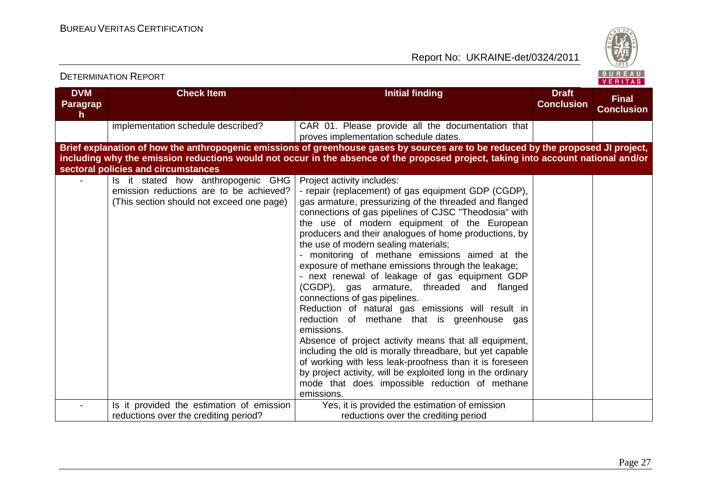

| <b>DVM</b><br><b>Paragrap</b><br>h. | <b>Check Item</b>                                                                                                          | <b>Initial finding</b>                                                                                                                                                                                                                                                                                                                                                                                                                                                                                                                                                                                                                                                                                                                                                                                                                                                                                                                                                                                                         | <b>Draft</b><br><b>Conclusion</b> | <b>Final</b><br><b>Conclusion</b> |
|-------------------------------------|----------------------------------------------------------------------------------------------------------------------------|--------------------------------------------------------------------------------------------------------------------------------------------------------------------------------------------------------------------------------------------------------------------------------------------------------------------------------------------------------------------------------------------------------------------------------------------------------------------------------------------------------------------------------------------------------------------------------------------------------------------------------------------------------------------------------------------------------------------------------------------------------------------------------------------------------------------------------------------------------------------------------------------------------------------------------------------------------------------------------------------------------------------------------|-----------------------------------|-----------------------------------|
|                                     | implementation schedule described?                                                                                         | CAR 01. Please provide all the documentation that<br>proves implementation schedule dates.                                                                                                                                                                                                                                                                                                                                                                                                                                                                                                                                                                                                                                                                                                                                                                                                                                                                                                                                     |                                   |                                   |
|                                     | sectoral policies and circumstances                                                                                        | Brief explanation of how the anthropogenic emissions of greenhouse gases by sources are to be reduced by the proposed JI project,<br>including why the emission reductions would not occur in the absence of the proposed project, taking into account national and/or                                                                                                                                                                                                                                                                                                                                                                                                                                                                                                                                                                                                                                                                                                                                                         |                                   |                                   |
|                                     | Is it stated how anthropogenic GHG<br>emission reductions are to be achieved?<br>(This section should not exceed one page) | Project activity includes:<br>- repair (replacement) of gas equipment GDP (CGDP),<br>gas armature, pressurizing of the threaded and flanged<br>connections of gas pipelines of CJSC "Theodosia" with<br>the use of modern equipment of the European<br>producers and their analogues of home productions, by<br>the use of modern sealing materials;<br>- monitoring of methane emissions aimed at the<br>exposure of methane emissions through the leakage;<br>- next renewal of leakage of gas equipment GDP<br>(CGDP), gas armature, threaded and flanged<br>connections of gas pipelines.<br>Reduction of natural gas emissions will result in<br>reduction of methane that is greenhouse gas<br>emissions.<br>Absence of project activity means that all equipment,<br>including the old is morally threadbare, but yet capable<br>of working with less leak-proofness than it is foreseen<br>by project activity, will be exploited long in the ordinary<br>mode that does impossible reduction of methane<br>emissions. |                                   |                                   |
|                                     | Is it provided the estimation of emission<br>reductions over the crediting period?                                         | Yes, it is provided the estimation of emission<br>reductions over the crediting period                                                                                                                                                                                                                                                                                                                                                                                                                                                                                                                                                                                                                                                                                                                                                                                                                                                                                                                                         |                                   |                                   |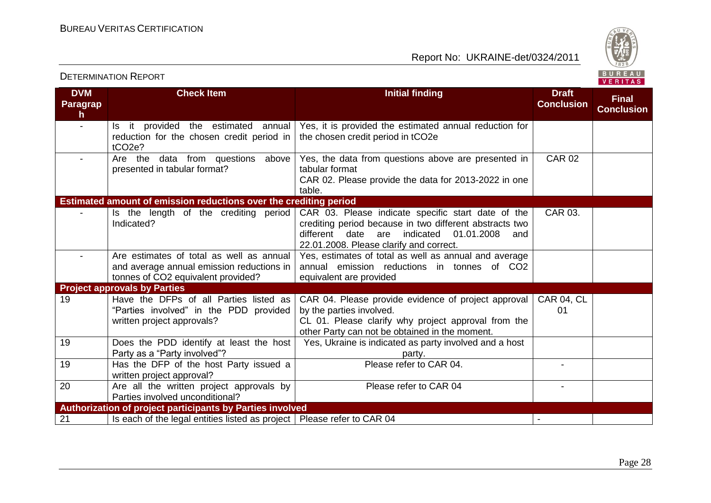

#### **DVM Paragrap h Check Item Initial finding Initial finding Draft Conclusion Final Conclusion** - Is it provided the estimated annual reduction for the chosen credit period in tCO2e? Yes, it is provided the estimated annual reduction for the chosen credit period in tCO2e - Are the data from questions above presented in tabular format? Yes, the data from questions above are presented in tabular format CAR 02. Please provide the data for 2013-2022 in one table.  $CAR 02$ **Estimated amount of emission reductions over the crediting period** Is the length of the crediting period Indicated? CAR 03. Please indicate specific start date of the crediting period because in two different abstracts two different date are indicated 01.01.2008 and 22.01.2008. Please clarify and correct. CAR 03. Are estimates of total as well as annual and average annual emission reductions in tonnes of CO2 equivalent provided? Yes, estimates of total as well as annual and average annual emission reductions in tonnes of CO2 equivalent are provided **Project approvals by Parties** 19 **Have the DFPs of all Parties listed as** "Parties involved" in the PDD provided written project approvals? CAR 04. Please provide evidence of project approval by the parties involved. CL 01. Please clarify why project approval from the other Party can not be obtained in the moment. CAR 04, CL 01 19 Does the PDD identify at least the host Party as a "Party involved"? Yes, Ukraine is indicated as party involved and a host party. 19 Has the DFP of the host Party issued a written project approval? Please refer to CAR 04. 20 Are all the written project approvals by Parties involved unconditional? Please refer to CAR 04 **Authorization of project participants by Parties involved** 21 Is each of the legal entities listed as project | Please refer to CAR 04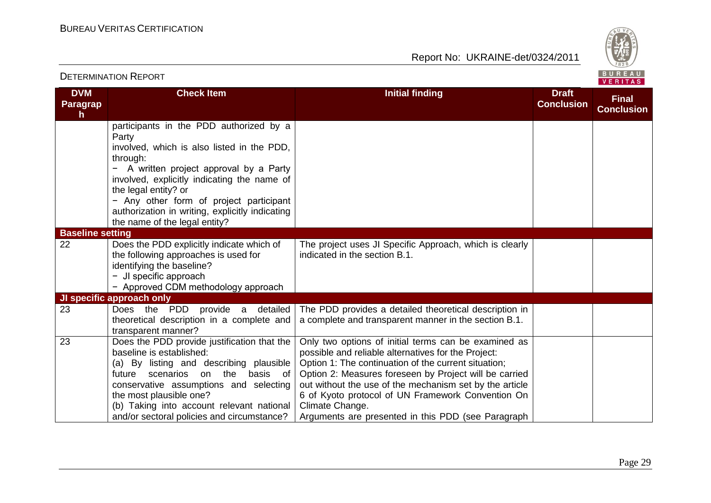

|                                     | <b>DETERMINATION REPORT</b>                                                                                                                                                                                                                                                                                                                                 |                                                                                                                                                                                                                                                                                                                                                                                                                        |                                   | BUREAU<br><b>VERITAS</b>          |
|-------------------------------------|-------------------------------------------------------------------------------------------------------------------------------------------------------------------------------------------------------------------------------------------------------------------------------------------------------------------------------------------------------------|------------------------------------------------------------------------------------------------------------------------------------------------------------------------------------------------------------------------------------------------------------------------------------------------------------------------------------------------------------------------------------------------------------------------|-----------------------------------|-----------------------------------|
| <b>DVM</b><br><b>Paragrap</b><br>h. | <b>Check Item</b>                                                                                                                                                                                                                                                                                                                                           | <b>Initial finding</b>                                                                                                                                                                                                                                                                                                                                                                                                 | <b>Draft</b><br><b>Conclusion</b> | <b>Final</b><br><b>Conclusion</b> |
|                                     | participants in the PDD authorized by a<br>Party<br>involved, which is also listed in the PDD,<br>through:<br>- A written project approval by a Party<br>involved, explicitly indicating the name of<br>the legal entity? or<br>- Any other form of project participant<br>authorization in writing, explicitly indicating<br>the name of the legal entity? |                                                                                                                                                                                                                                                                                                                                                                                                                        |                                   |                                   |
| <b>Baseline setting</b>             |                                                                                                                                                                                                                                                                                                                                                             |                                                                                                                                                                                                                                                                                                                                                                                                                        |                                   |                                   |
| 22                                  | Does the PDD explicitly indicate which of<br>the following approaches is used for<br>identifying the baseline?<br>- JI specific approach<br>- Approved CDM methodology approach                                                                                                                                                                             | The project uses JI Specific Approach, which is clearly<br>indicated in the section B.1.                                                                                                                                                                                                                                                                                                                               |                                   |                                   |
|                                     | JI specific approach only                                                                                                                                                                                                                                                                                                                                   |                                                                                                                                                                                                                                                                                                                                                                                                                        |                                   |                                   |
| 23                                  | Does the PDD provide a detailed<br>theoretical description in a complete and<br>transparent manner?                                                                                                                                                                                                                                                         | The PDD provides a detailed theoretical description in<br>a complete and transparent manner in the section B.1.                                                                                                                                                                                                                                                                                                        |                                   |                                   |
| 23                                  | Does the PDD provide justification that the<br>baseline is established:<br>(a) By listing and describing plausible<br>future scenarios<br>on the<br>basis of<br>conservative assumptions and selecting<br>the most plausible one?<br>(b) Taking into account relevant national<br>and/or sectoral policies and circumstance?                                | Only two options of initial terms can be examined as<br>possible and reliable alternatives for the Project:<br>Option 1: The continuation of the current situation;<br>Option 2: Measures foreseen by Project will be carried<br>out without the use of the mechanism set by the article<br>6 of Kyoto protocol of UN Framework Convention On<br>Climate Change.<br>Arguments are presented in this PDD (see Paragraph |                                   |                                   |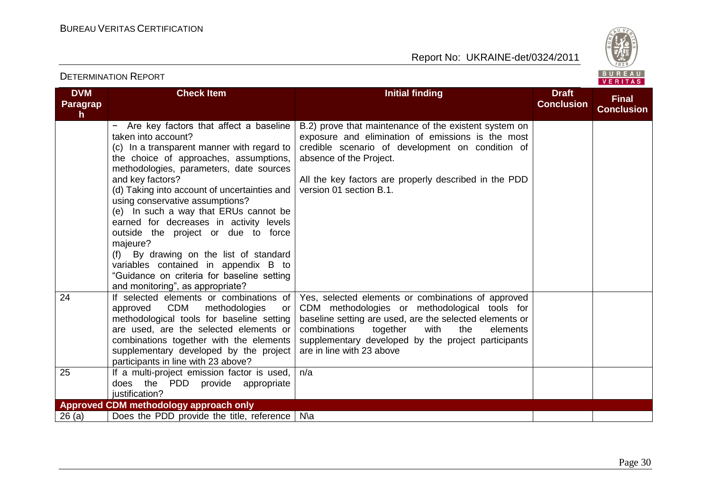

#### **DVM Paragrap h Check Item Initial finding Initial finding Draft Conclusion Final Conclusion** − Are key factors that affect a baseline taken into account? (c) In a transparent manner with regard to the choice of approaches, assumptions, methodologies, parameters, date sources and key factors? (d) Taking into account of uncertainties and using conservative assumptions? (e) In such a way that ERUs cannot be earned for decreases in activity levels outside the project or due to force majeure? (f) By drawing on the list of standard variables contained in appendix B to "Guidance on criteria for baseline setting and monitoring", as appropriate? B.2) prove that maintenance of the existent system on exposure and elimination of emissions is the most credible scenario of development on condition of absence of the Project. All the key factors are properly described in the PDD version 01 section B.1. 24 If selected elements or combinations of approved CDM methodologies or methodological tools for baseline setting are used, are the selected elements or combinations together with the elements supplementary developed by the project participants in line with 23 above? Yes, selected elements or combinations of approved CDM methodologies or methodological tools for baseline setting are used, are the selected elements or<br>combinations together with the elements combinations together with the elements supplementary developed by the project participants are in line with 23 above 25 | If a multi-project emission factor is used, does the PDD provide appropriate justification? n/a **Approved CDM methodology approach only**  $26$  (a)  $\Box$  Does the PDD provide the title, reference  $\Box$  N\a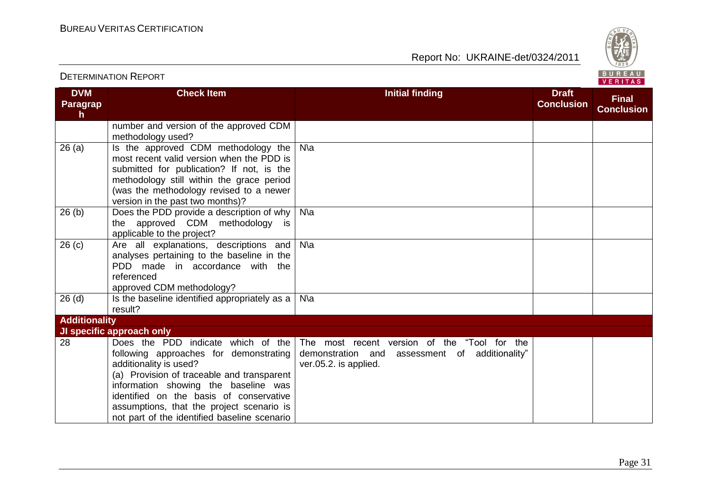

|                                     | <b>DETERMINATION REPORT</b>                                                                                                                                                                                                                                          |                                                                                                                         |                                   | BUREAU<br><b>VERITAS</b>          |
|-------------------------------------|----------------------------------------------------------------------------------------------------------------------------------------------------------------------------------------------------------------------------------------------------------------------|-------------------------------------------------------------------------------------------------------------------------|-----------------------------------|-----------------------------------|
| <b>DVM</b><br><b>Paragrap</b><br>h. | <b>Check Item</b>                                                                                                                                                                                                                                                    | <b>Initial finding</b>                                                                                                  | <b>Draft</b><br><b>Conclusion</b> | <b>Final</b><br><b>Conclusion</b> |
|                                     | number and version of the approved CDM<br>methodology used?                                                                                                                                                                                                          |                                                                                                                         |                                   |                                   |
| 26(a)                               | Is the approved CDM methodology the<br>most recent valid version when the PDD is<br>submitted for publication? If not, is the<br>methodology still within the grace period<br>(was the methodology revised to a newer<br>version in the past two months)?            | $N\$                                                                                                                    |                                   |                                   |
| 26(b)                               | Does the PDD provide a description of why  <br>the approved CDM methodology is<br>applicable to the project?                                                                                                                                                         | $N\$                                                                                                                    |                                   |                                   |
| 26(c)                               | Are all explanations, descriptions and<br>analyses pertaining to the baseline in the<br>PDD made in accordance with the<br>referenced<br>approved CDM methodology?                                                                                                   | $N\$                                                                                                                    |                                   |                                   |
| $26$ (d)                            | Is the baseline identified appropriately as a $ $<br>result?                                                                                                                                                                                                         | $N\$                                                                                                                    |                                   |                                   |
| <b>Additionality</b>                |                                                                                                                                                                                                                                                                      |                                                                                                                         |                                   |                                   |
| 28                                  | JI specific approach only<br>Does the PDD indicate which of the<br>following approaches for demonstrating<br>additionality is used?<br>(a) Provision of traceable and transparent<br>information showing the baseline was<br>identified on the basis of conservative | The most recent version of the "Tool for the<br>demonstration and assessment of additionality"<br>ver.05.2. is applied. |                                   |                                   |
|                                     | assumptions, that the project scenario is<br>not part of the identified baseline scenario                                                                                                                                                                            |                                                                                                                         |                                   |                                   |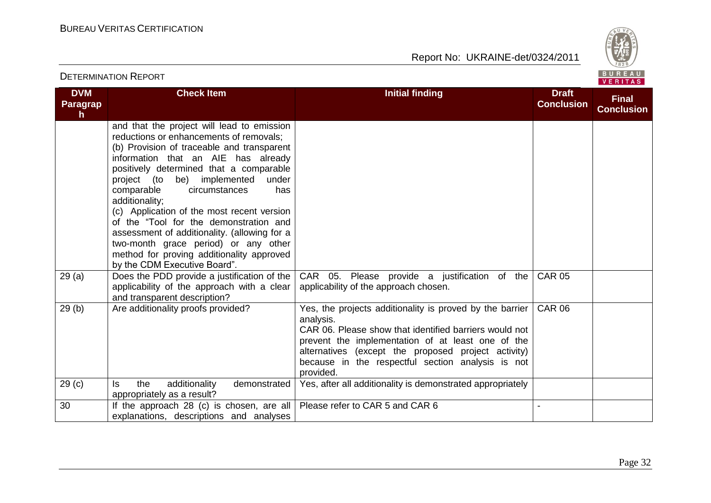

| <b>DETERMINATION REPORT</b>  |                                                                                                                                                                                                                                                                                                                                                                                                                                                                                                                                                                                                                                       |                                                                                                                                                                                                                                                                                                                 |                                   | BUREAU<br>VERITAS                 |
|------------------------------|---------------------------------------------------------------------------------------------------------------------------------------------------------------------------------------------------------------------------------------------------------------------------------------------------------------------------------------------------------------------------------------------------------------------------------------------------------------------------------------------------------------------------------------------------------------------------------------------------------------------------------------|-----------------------------------------------------------------------------------------------------------------------------------------------------------------------------------------------------------------------------------------------------------------------------------------------------------------|-----------------------------------|-----------------------------------|
| <b>DVM</b><br>Paragrap<br>h. | <b>Check Item</b>                                                                                                                                                                                                                                                                                                                                                                                                                                                                                                                                                                                                                     | <b>Initial finding</b>                                                                                                                                                                                                                                                                                          | <b>Draft</b><br><b>Conclusion</b> | <b>Final</b><br><b>Conclusion</b> |
| 29(a)                        | and that the project will lead to emission<br>reductions or enhancements of removals;<br>(b) Provision of traceable and transparent<br>information that an AIE has already<br>positively determined that a comparable<br>project (to be) implemented<br>under<br>comparable<br>circumstances<br>has<br>additionality;<br>(c) Application of the most recent version<br>of the "Tool for the demonstration and<br>assessment of additionality. (allowing for a<br>two-month grace period) or any other<br>method for proving additionality approved<br>by the CDM Executive Board".<br>Does the PDD provide a justification of the $ $ | CAR 05. Please provide a justification of the                                                                                                                                                                                                                                                                   | <b>CAR 05</b>                     |                                   |
|                              | applicability of the approach with a clear<br>and transparent description?                                                                                                                                                                                                                                                                                                                                                                                                                                                                                                                                                            | applicability of the approach chosen.                                                                                                                                                                                                                                                                           |                                   |                                   |
| 29(b)                        | Are additionality proofs provided?                                                                                                                                                                                                                                                                                                                                                                                                                                                                                                                                                                                                    | Yes, the projects additionality is proved by the barrier  <br>analysis.<br>CAR 06. Please show that identified barriers would not<br>prevent the implementation of at least one of the<br>alternatives (except the proposed project activity)<br>because in the respectful section analysis is not<br>provided. | <b>CAR 06</b>                     |                                   |
| 29 <sub>(c)</sub>            | the<br>ls.<br>additionality<br>demonstrated<br>appropriately as a result?                                                                                                                                                                                                                                                                                                                                                                                                                                                                                                                                                             | Yes, after all additionality is demonstrated appropriately                                                                                                                                                                                                                                                      |                                   |                                   |
| 30                           | If the approach 28 (c) is chosen, are all   Please refer to CAR 5 and CAR 6<br>explanations, descriptions and analyses                                                                                                                                                                                                                                                                                                                                                                                                                                                                                                                |                                                                                                                                                                                                                                                                                                                 |                                   |                                   |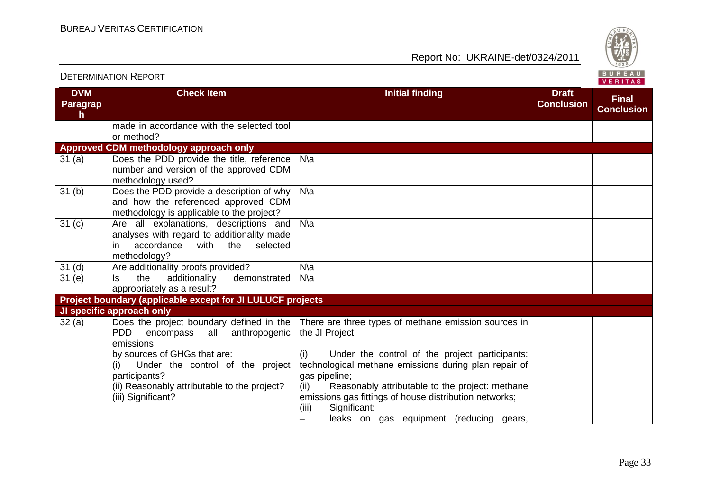

|                             |                                                                                                                                                                                                                                                            |                                                                                                                                                                                                                                                                                                                                                                                                     |                                   | VERITAS                           |
|-----------------------------|------------------------------------------------------------------------------------------------------------------------------------------------------------------------------------------------------------------------------------------------------------|-----------------------------------------------------------------------------------------------------------------------------------------------------------------------------------------------------------------------------------------------------------------------------------------------------------------------------------------------------------------------------------------------------|-----------------------------------|-----------------------------------|
| <b>DVM</b><br>Paragrap<br>h | <b>Check Item</b>                                                                                                                                                                                                                                          | <b>Initial finding</b>                                                                                                                                                                                                                                                                                                                                                                              | <b>Draft</b><br><b>Conclusion</b> | <b>Final</b><br><b>Conclusion</b> |
|                             | made in accordance with the selected tool<br>or method?                                                                                                                                                                                                    |                                                                                                                                                                                                                                                                                                                                                                                                     |                                   |                                   |
|                             | Approved CDM methodology approach only                                                                                                                                                                                                                     |                                                                                                                                                                                                                                                                                                                                                                                                     |                                   |                                   |
| 31(a)                       | Does the PDD provide the title, reference<br>number and version of the approved CDM<br>methodology used?                                                                                                                                                   | $N\$                                                                                                                                                                                                                                                                                                                                                                                                |                                   |                                   |
| 31(b)                       | Does the PDD provide a description of why<br>and how the referenced approved CDM<br>methodology is applicable to the project?                                                                                                                              | $N\$                                                                                                                                                                                                                                                                                                                                                                                                |                                   |                                   |
| 31 <sub>(c)</sub>           | Are all explanations, descriptions and<br>analyses with regard to additionality made<br>accordance<br>the selected<br>with<br>in.<br>methodology?                                                                                                          | $N\$ a                                                                                                                                                                                                                                                                                                                                                                                              |                                   |                                   |
| 31 <sub>(d)</sub>           | Are additionality proofs provided?                                                                                                                                                                                                                         | $N\$                                                                                                                                                                                                                                                                                                                                                                                                |                                   |                                   |
| 31(e)                       | additionality<br>demonstrated<br>the<br>ls.<br>appropriately as a result?                                                                                                                                                                                  | $N\$                                                                                                                                                                                                                                                                                                                                                                                                |                                   |                                   |
|                             | Project boundary (applicable except for JI LULUCF projects                                                                                                                                                                                                 |                                                                                                                                                                                                                                                                                                                                                                                                     |                                   |                                   |
|                             | JI specific approach only                                                                                                                                                                                                                                  |                                                                                                                                                                                                                                                                                                                                                                                                     |                                   |                                   |
| 32(a)                       | Does the project boundary defined in the<br>PDD encompass all anthropogenic<br>emissions<br>by sources of GHGs that are:<br>Under the control of the project<br>(i)<br>participants?<br>(ii) Reasonably attributable to the project?<br>(iii) Significant? | There are three types of methane emission sources in<br>the JI Project:<br>Under the control of the project participants:<br>(i)<br>technological methane emissions during plan repair of<br>gas pipeline;<br>Reasonably attributable to the project: methane<br>(ii)<br>emissions gas fittings of house distribution networks;<br>Significant:<br>(iii)<br>leaks on gas equipment (reducing gears, |                                   |                                   |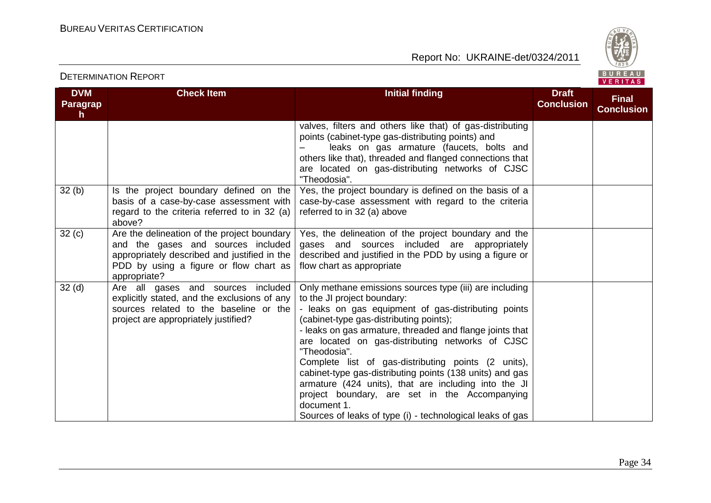

#### **DVM Paragrap h Check Item Initial finding Initial finding Draft Conclusion Final Conclusion** valves, filters and others like that) of gas-distributing points (cabinet-type gas-distributing points) and leaks on gas armature (faucets, bolts and others like that), threaded and flanged connections that are located on gas-distributing networks of CJSC "Theodosia".  $32$  (b)  $\parallel$  Is the project boundary defined on the basis of a case-by-case assessment with regard to the criteria referred to in 32 (a) above? Yes, the project boundary is defined on the basis of a case-by-case assessment with regard to the criteria referred to in 32 (a) above  $32$  (c)  $\overline{\phantom{a}}$  Are the delineation of the project boundary and the gases and sources included appropriately described and justified in the PDD by using a figure or flow chart as appropriate? Yes, the delineation of the project boundary and the gases and sources included are appropriately described and justified in the PDD by using a figure or flow chart as appropriate 32 (d) Are all gases and sources included explicitly stated, and the exclusions of any sources related to the baseline or the project are appropriately justified? Only methane emissions sources type (iii) are including to the JI project boundary: - leaks on gas equipment of gas-distributing points (cabinet-type gas-distributing points); - leaks on gas armature, threaded and flange joints that are located on gas-distributing networks of CJSC "Theodosia". Complete list of gas-distributing points (2 units), cabinet-type gas-distributing points (138 units) and gas armature (424 units), that are including into the JI project boundary, are set in the Accompanying document 1. Sources of leaks of type (i) - technological leaks of gas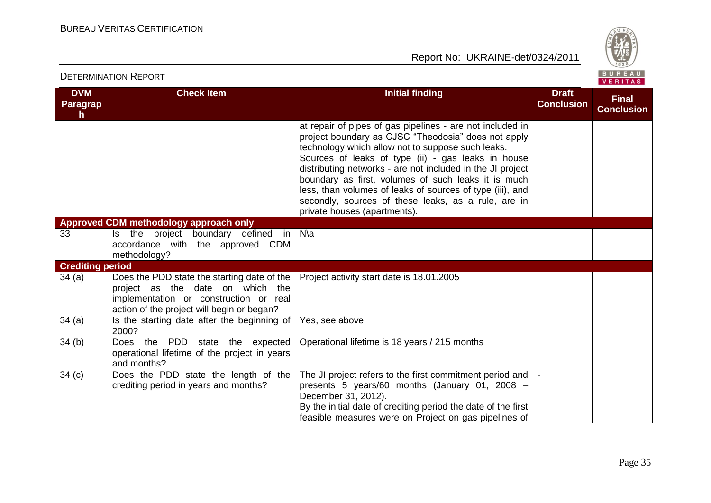

| <b>DVM</b><br><b>Paragrap</b><br>$\mathsf{h}$ | <b>Check Item</b>                                                                                                                                                       | <b>Initial finding</b>                                                                                                                                                                                                                                                                                                                                                                                                                                                                               | <b>Draft</b><br><b>Conclusion</b> | <b>Final</b><br><b>Conclusion</b> |
|-----------------------------------------------|-------------------------------------------------------------------------------------------------------------------------------------------------------------------------|------------------------------------------------------------------------------------------------------------------------------------------------------------------------------------------------------------------------------------------------------------------------------------------------------------------------------------------------------------------------------------------------------------------------------------------------------------------------------------------------------|-----------------------------------|-----------------------------------|
|                                               |                                                                                                                                                                         | at repair of pipes of gas pipelines - are not included in<br>project boundary as CJSC "Theodosia" does not apply<br>technology which allow not to suppose such leaks.<br>Sources of leaks of type (ii) - gas leaks in house<br>distributing networks - are not included in the JI project<br>boundary as first, volumes of such leaks it is much<br>less, than volumes of leaks of sources of type (iii), and<br>secondly, sources of these leaks, as a rule, are in<br>private houses (apartments). |                                   |                                   |
|                                               | Approved CDM methodology approach only                                                                                                                                  |                                                                                                                                                                                                                                                                                                                                                                                                                                                                                                      |                                   |                                   |
| 33                                            | Is the project boundary defined in<br>accordance with the approved CDM<br>methodology?                                                                                  | $N\$                                                                                                                                                                                                                                                                                                                                                                                                                                                                                                 |                                   |                                   |
| <b>Crediting period</b>                       |                                                                                                                                                                         |                                                                                                                                                                                                                                                                                                                                                                                                                                                                                                      |                                   |                                   |
| 34(a)                                         | Does the PDD state the starting date of the<br>project as the date on which the<br>implementation or construction or real<br>action of the project will begin or began? | Project activity start date is 18.01.2005                                                                                                                                                                                                                                                                                                                                                                                                                                                            |                                   |                                   |
| 34(a)                                         | Is the starting date after the beginning of<br>2000?                                                                                                                    | Yes, see above                                                                                                                                                                                                                                                                                                                                                                                                                                                                                       |                                   |                                   |
| 34(b)                                         | Does the PDD state the expected<br>operational lifetime of the project in years<br>and months?                                                                          | Operational lifetime is 18 years / 215 months                                                                                                                                                                                                                                                                                                                                                                                                                                                        |                                   |                                   |
| 34(c)                                         | Does the PDD state the length of the<br>crediting period in years and months?                                                                                           | The JI project refers to the first commitment period and<br>presents 5 years/60 months (January 01, 2008 -<br>December 31, 2012).<br>By the initial date of crediting period the date of the first<br>feasible measures were on Project on gas pipelines of                                                                                                                                                                                                                                          |                                   |                                   |

DETERMINATION REPORT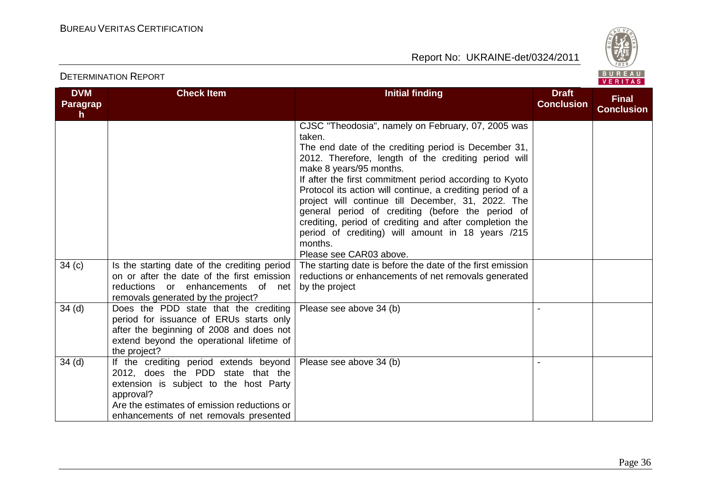

| <b>DVM</b><br>Paragrap<br>h. | <b>Check Item</b>                                                                                                                                                                                                           | <b>Initial finding</b>                                                                                                                                                                                                                                                                                                                                                                                                                                                                                                                                                 | <b>Draft</b><br><b>Conclusion</b> | <b>Final</b><br><b>Conclusion</b> |
|------------------------------|-----------------------------------------------------------------------------------------------------------------------------------------------------------------------------------------------------------------------------|------------------------------------------------------------------------------------------------------------------------------------------------------------------------------------------------------------------------------------------------------------------------------------------------------------------------------------------------------------------------------------------------------------------------------------------------------------------------------------------------------------------------------------------------------------------------|-----------------------------------|-----------------------------------|
|                              |                                                                                                                                                                                                                             | CJSC "Theodosia", namely on February, 07, 2005 was<br>taken.<br>The end date of the crediting period is December 31,<br>2012. Therefore, length of the crediting period will<br>make 8 years/95 months.<br>If after the first commitment period according to Kyoto<br>Protocol its action will continue, a crediting period of a<br>project will continue till December, 31, 2022. The<br>general period of crediting (before the period of<br>crediting, period of crediting and after completion the<br>period of crediting) will amount in 18 years /215<br>months. |                                   |                                   |
|                              |                                                                                                                                                                                                                             | Please see CAR03 above.                                                                                                                                                                                                                                                                                                                                                                                                                                                                                                                                                |                                   |                                   |
| 34(c)                        | Is the starting date of the crediting period<br>on or after the date of the first emission<br>reductions or enhancements of net<br>removals generated by the project?                                                       | The starting date is before the date of the first emission<br>reductions or enhancements of net removals generated<br>by the project                                                                                                                                                                                                                                                                                                                                                                                                                                   |                                   |                                   |
| 34 <sub>(d)</sub>            | Does the PDD state that the crediting<br>period for issuance of ERUs starts only<br>after the beginning of 2008 and does not<br>extend beyond the operational lifetime of<br>the project?                                   | Please see above 34 (b)                                                                                                                                                                                                                                                                                                                                                                                                                                                                                                                                                |                                   |                                   |
| 34 <sub>(d)</sub>            | If the crediting period extends beyond<br>2012, does the PDD state that the<br>extension is subject to the host Party<br>approval?<br>Are the estimates of emission reductions or<br>enhancements of net removals presented | Please see above 34 (b)                                                                                                                                                                                                                                                                                                                                                                                                                                                                                                                                                |                                   |                                   |

#### DETERMINATION REPORT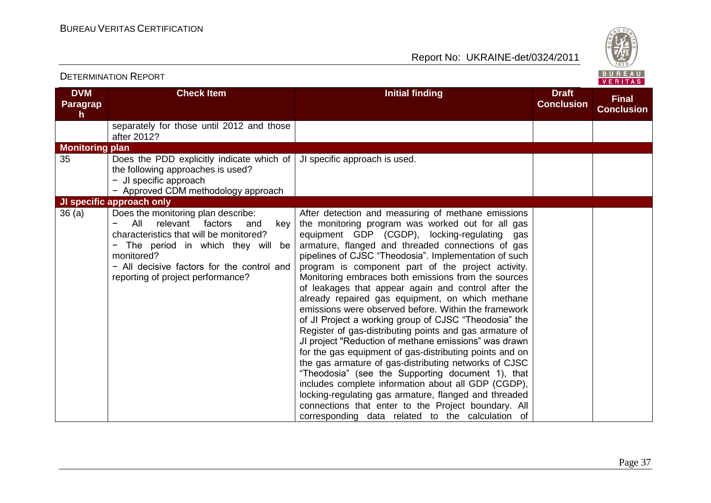

|                                               | <b>DETERMINATION REPORT</b>                                                                                                                                                                                                                                         |                                                                                                                                                                                                                                                                                                                                                                                                                                                                                                                                                                                                                                                                                                                                                                                                                                                                                                                                                                                                                                                                                                                                        |                                   | BUREAU<br><b>VERITAS</b>          |
|-----------------------------------------------|---------------------------------------------------------------------------------------------------------------------------------------------------------------------------------------------------------------------------------------------------------------------|----------------------------------------------------------------------------------------------------------------------------------------------------------------------------------------------------------------------------------------------------------------------------------------------------------------------------------------------------------------------------------------------------------------------------------------------------------------------------------------------------------------------------------------------------------------------------------------------------------------------------------------------------------------------------------------------------------------------------------------------------------------------------------------------------------------------------------------------------------------------------------------------------------------------------------------------------------------------------------------------------------------------------------------------------------------------------------------------------------------------------------------|-----------------------------------|-----------------------------------|
| <b>DVM</b><br><b>Paragrap</b><br>$\mathsf{h}$ | <b>Check Item</b>                                                                                                                                                                                                                                                   | <b>Initial finding</b>                                                                                                                                                                                                                                                                                                                                                                                                                                                                                                                                                                                                                                                                                                                                                                                                                                                                                                                                                                                                                                                                                                                 | <b>Draft</b><br><b>Conclusion</b> | <b>Final</b><br><b>Conclusion</b> |
|                                               | separately for those until 2012 and those<br>after 2012?                                                                                                                                                                                                            |                                                                                                                                                                                                                                                                                                                                                                                                                                                                                                                                                                                                                                                                                                                                                                                                                                                                                                                                                                                                                                                                                                                                        |                                   |                                   |
| <b>Monitoring plan</b>                        |                                                                                                                                                                                                                                                                     |                                                                                                                                                                                                                                                                                                                                                                                                                                                                                                                                                                                                                                                                                                                                                                                                                                                                                                                                                                                                                                                                                                                                        |                                   |                                   |
| 35                                            | Does the PDD explicitly indicate which of<br>the following approaches is used?<br>- JI specific approach<br>- Approved CDM methodology approach                                                                                                                     | JI specific approach is used.                                                                                                                                                                                                                                                                                                                                                                                                                                                                                                                                                                                                                                                                                                                                                                                                                                                                                                                                                                                                                                                                                                          |                                   |                                   |
|                                               | JI specific approach only                                                                                                                                                                                                                                           |                                                                                                                                                                                                                                                                                                                                                                                                                                                                                                                                                                                                                                                                                                                                                                                                                                                                                                                                                                                                                                                                                                                                        |                                   |                                   |
| 36(a)                                         | Does the monitoring plan describe:<br>All<br>relevant factors<br>and<br>key<br>characteristics that will be monitored?<br>The period in which they will<br>-<br>be<br>monitored?<br>- All decisive factors for the control and<br>reporting of project performance? | After detection and measuring of methane emissions<br>the monitoring program was worked out for all gas<br>equipment GDP (CGDP), locking-regulating gas<br>armature, flanged and threaded connections of gas<br>pipelines of CJSC "Theodosia". Implementation of such<br>program is component part of the project activity.<br>Monitoring embraces both emissions from the sources<br>of leakages that appear again and control after the<br>already repaired gas equipment, on which methane<br>emissions were observed before. Within the framework<br>of JI Project a working group of CJSC "Theodosia" the<br>Register of gas-distributing points and gas armature of<br>JI project "Reduction of methane emissions" was drawn<br>for the gas equipment of gas-distributing points and on<br>the gas armature of gas-distributing networks of CJSC<br>"Theodosia" (see the Supporting document 1), that<br>includes complete information about all GDP (CGDP),<br>locking-regulating gas armature, flanged and threaded<br>connections that enter to the Project boundary. All<br>corresponding data related to the calculation of |                                   |                                   |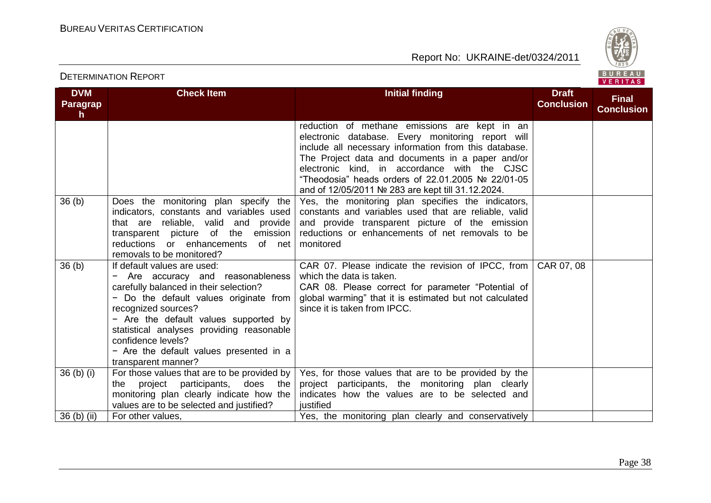Report No: UKRAINE-det/0324/2011



#### **DVM Paragrap h Check Item Initial finding Draft Draft Conclusion Final Conclusion** reduction of methane emissions are kept in an electronic database. Every monitoring report will include all necessary information from this database. The Project data and documents in a paper and/or electronic kind, in accordance with the CJSC "Theodosia" heads orders of 22.01.2005 № 22/01-05 and of 12/05/2011 № 283 are kept till 31.12.2024. 36 (b) Does the monitoring plan specify the indicators, constants and variables used that are reliable, valid and provide transparent picture of the emission reductions or enhancements of net removals to be monitored? Yes, the monitoring plan specifies the indicators, constants and variables used that are reliable, valid and provide transparent picture of the emission reductions or enhancements of net removals to be monitored 36 (b) If default values are used: − Are accuracy and reasonableness carefully balanced in their selection? − Do the default values originate from recognized sources? − Are the default values supported by statistical analyses providing reasonable confidence levels? − Are the default values presented in a transparent manner? CAR 07. Please indicate the revision of IPCC, from which the data is taken. CAR 08. Please correct for parameter "Potential of global warming" that it is estimated but not calculated since it is taken from IPCC. CAR 07, 08 36 (b) (i) For those values that are to be provided by the project participants, does the monitoring plan clearly indicate how the values are to be selected and justified? Yes, for those values that are to be provided by the project participants, the monitoring plan clearly indicates how the values are to be selected and iustified 36 (b) (ii) For other values, Yes, the monitoring plan clearly and conservatively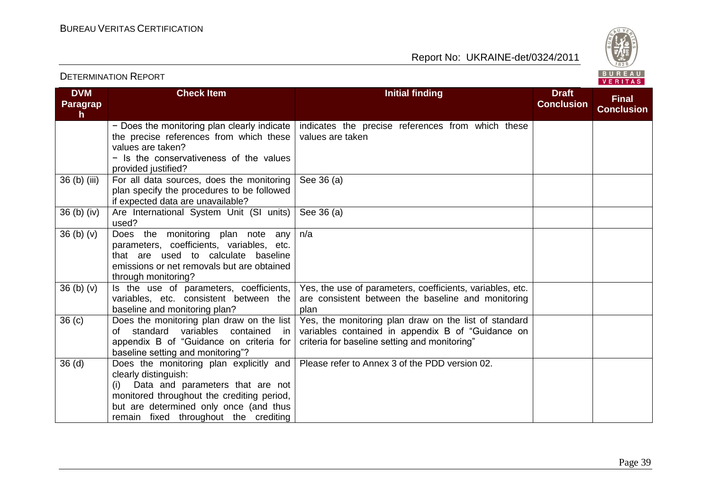Report No: UKRAINE-det/0324/2011



#### **DVM Paragrap h Check Item Initial finding Initial finding Draft Conclusion Final Conclusion** − Does the monitoring plan clearly indicate the precise references from which these values are taken? − Is the conservativeness of the values provided justified? indicates the precise references from which these values are taken 36 (b) (iii) For all data sources, does the monitoring plan specify the procedures to be followed if expected data are unavailable? See 36 (a) 36 (b) (iv) Are International System Unit (SI units) used? See 36 (a) 36 (b) (v) Does the monitoring plan note any parameters, coefficients, variables, etc. that are used to calculate baseline emissions or net removals but are obtained through monitoring? n/a  $36$  (b) (v) Is the use of parameters, coefficients, variables, etc. consistent between the baseline and monitoring plan? Yes, the use of parameters, coefficients, variables, etc. are consistent between the baseline and monitoring plan 36 (c) Does the monitoring plan draw on the list of standard variables contained in appendix B of "Guidance on criteria for baseline setting and monitoring"? Yes, the monitoring plan draw on the list of standard variables contained in appendix B of "Guidance on criteria for baseline setting and monitoring" 36 (d) Does the monitoring plan explicitly and clearly distinguish: (i) Data and parameters that are not monitored throughout the crediting period, but are determined only once (and thus remain fixed throughout the crediting Please refer to Annex 3 of the PDD version 02.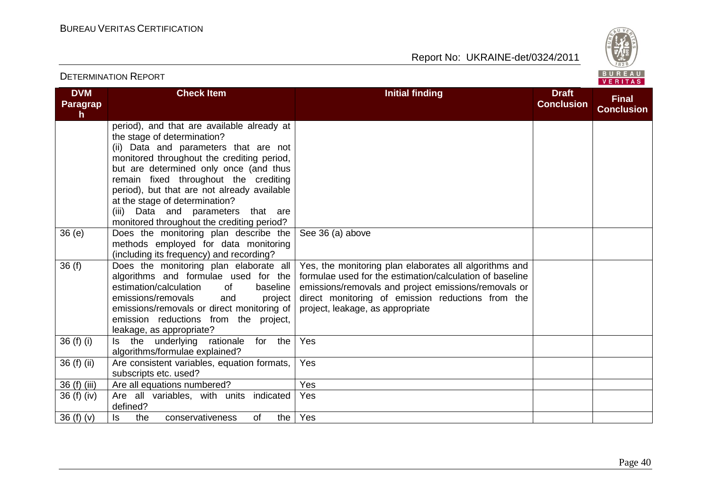

| <b>DETERMINATION REPORT</b> |                                                                                                                                                                                                                                                                                                                                                                                                                          |                                                                                                                                                                                                                                                                     |                                   | BUREAU<br>VERITAS                 |  |
|-----------------------------|--------------------------------------------------------------------------------------------------------------------------------------------------------------------------------------------------------------------------------------------------------------------------------------------------------------------------------------------------------------------------------------------------------------------------|---------------------------------------------------------------------------------------------------------------------------------------------------------------------------------------------------------------------------------------------------------------------|-----------------------------------|-----------------------------------|--|
| <b>DVM</b><br>Paragrap<br>h | <b>Check Item</b>                                                                                                                                                                                                                                                                                                                                                                                                        | <b>Initial finding</b>                                                                                                                                                                                                                                              | <b>Draft</b><br><b>Conclusion</b> | <b>Final</b><br><b>Conclusion</b> |  |
|                             | period), and that are available already at<br>the stage of determination?<br>(ii) Data and parameters that are not<br>monitored throughout the crediting period,<br>but are determined only once (and thus<br>remain fixed throughout the crediting<br>period), but that are not already available<br>at the stage of determination?<br>(iii) Data and parameters that are<br>monitored throughout the crediting period? |                                                                                                                                                                                                                                                                     |                                   |                                   |  |
| 36(e)                       | Does the monitoring plan describe the<br>methods employed for data monitoring<br>(including its frequency) and recording?                                                                                                                                                                                                                                                                                                | See 36 (a) above                                                                                                                                                                                                                                                    |                                   |                                   |  |
| 36(f)                       | Does the monitoring plan elaborate all<br>algorithms and formulae used for the<br>estimation/calculation<br><b>of</b><br>baseline<br>emissions/removals<br>and<br>project<br>emissions/removals or direct monitoring of<br>emission reductions from the project,<br>leakage, as appropriate?                                                                                                                             | Yes, the monitoring plan elaborates all algorithms and<br>formulae used for the estimation/calculation of baseline<br>emissions/removals and project emissions/removals or<br>direct monitoring of emission reductions from the<br>project, leakage, as appropriate |                                   |                                   |  |
| 36 (f) (i)                  | Is the underlying rationale for the<br>algorithms/formulae explained?                                                                                                                                                                                                                                                                                                                                                    | Yes                                                                                                                                                                                                                                                                 |                                   |                                   |  |
| 36 (f) (ii)                 | Are consistent variables, equation formats,<br>subscripts etc. used?                                                                                                                                                                                                                                                                                                                                                     | Yes                                                                                                                                                                                                                                                                 |                                   |                                   |  |
| 36 (f) (iii)<br>36(f)(iv)   | Are all equations numbered?<br>Are all variables, with units indicated<br>defined?                                                                                                                                                                                                                                                                                                                                       | Yes<br>Yes                                                                                                                                                                                                                                                          |                                   |                                   |  |
| 36 $(f)(v)$                 | ls<br>the<br>conservativeness<br>of<br>the                                                                                                                                                                                                                                                                                                                                                                               | Yes                                                                                                                                                                                                                                                                 |                                   |                                   |  |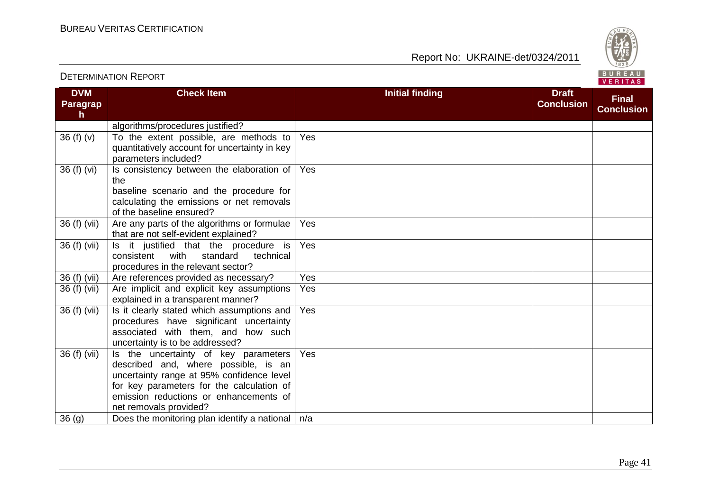Report No: UKRAINE-det/0324/2011



#### **DVM Paragrap h Check Item Initial finding Initial finding Draft Conclusion Final Conclusion** algorithms/procedures justified? 36 (f) (v)  $\vert$  To the extent possible, are methods to quantitatively account for uncertainty in key parameters included? Yes 36 (f) (vi)  $\vert$  Is consistency between the elaboration of the baseline scenario and the procedure for calculating the emissions or net removals of the baseline ensured? Yes 36 (f) (vii)  $\vert$  Are any parts of the algorithms or formulae that are not self-evident explained? Yes 36 (f) (vii)  $\vert$  is it justified that the procedure is consistent with standard technical procedures in the relevant sector? Yes 36 (f) (vii) Are references provided as necessary? Yes 36 (f) (vii) Are implicit and explicit key assumptions explained in a transparent manner? Yes 36 (f) (vii)  $\vert$  is it clearly stated which assumptions and procedures have significant uncertainty associated with them, and how such uncertainty is to be addressed? Yes 36 (f) (vii)  $\vert$  is the uncertainty of key parameters described and, where possible, is an uncertainty range at 95% confidence level for key parameters for the calculation of emission reductions or enhancements of net removals provided? Yes 36 (g)  $\log$  Does the monitoring plan identify a national  $\log$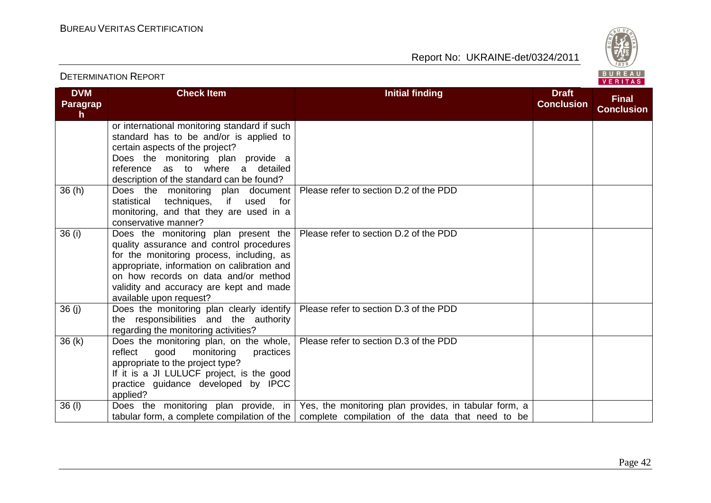Report No: UKRAINE-det/0324/2011



#### VERITAS **Check Item Initial finding Initial finding Draft DVM Conclusion Final Paragrap Conclusion h** or international monitoring standard if such standard has to be and/or is applied to certain aspects of the project? Does the monitoring plan provide a reference as to where a detailed description of the standard can be found? 36 (h) Does the monitoring plan document Please refer to section D.2 of the PDD statistical techniques, if used for monitoring, and that they are used in a conservative manner? 36 (i) Does the monitoring plan present the Please refer to section D.2 of the PDD quality assurance and control procedures for the monitoring process, including, as appropriate, information on calibration and on how records on data and/or method validity and accuracy are kept and made available upon request? 36 (i) Does the monitoring plan clearly identify Please refer to section D.3 of the PDD the responsibilities and the authority regarding the monitoring activities? 36 (k) Does the monitoring plan, on the whole, Please refer to section D.3 of the PDD reflect good monitoring practices appropriate to the project type? If it is a JI LULUCF project, is the good practice guidance developed by IPCC applied? 36 (I)  $\qquad$  Does the monitoring plan provide, in Yes, the monitoring plan provides, in tabular form, a tabular form, a complete compilation of the  $\vert$  complete compilation of the data that need to be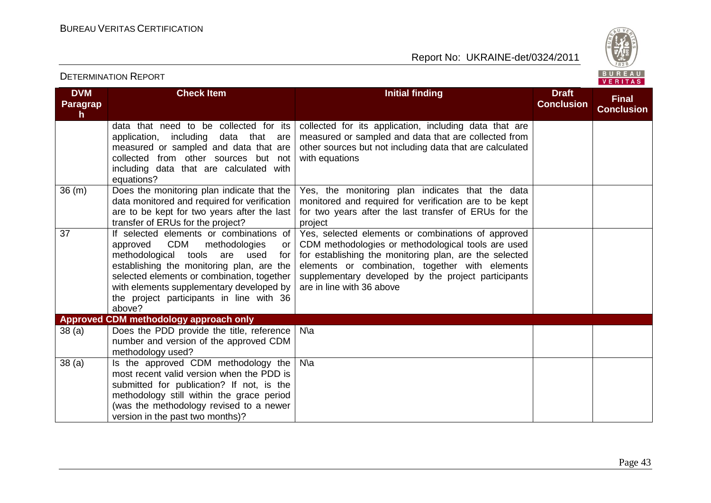

#### **DVM Paragrap h Check Item Initial finding Initial finding Draft Conclusion Final Conclusion** data that need to be collected for its application, including data that are measured or sampled and data that are collected from other sources but not including data that are calculated with equations? collected for its application, including data that are measured or sampled and data that are collected from other sources but not including data that are calculated with equations 36 (m) Does the monitoring plan indicate that the data monitored and required for verification are to be kept for two years after the last transfer of ERUs for the project? Yes, the monitoring plan indicates that the data monitored and required for verification are to be kept for two years after the last transfer of ERUs for the project 37 If selected elements or combinations of approved CDM methodologies or methodological tools are used for establishing the monitoring plan, are the selected elements or combination, together with elements supplementary developed by the project participants in line with 36 above? Yes, selected elements or combinations of approved CDM methodologies or methodological tools are used for establishing the monitoring plan, are the selected elements or combination, together with elements supplementary developed by the project participants are in line with 36 above **Approved CDM methodology approach only** 38 (a) Does the PDD provide the title, reference number and version of the approved CDM methodology used? N\a  $38$  (a) Is the approved CDM methodology the most recent valid version when the PDD is submitted for publication? If not, is the methodology still within the grace period (was the methodology revised to a newer version in the past two months)? N\a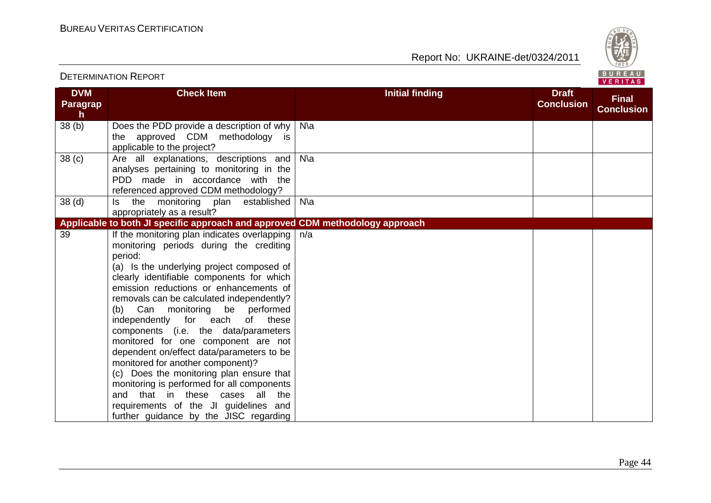

#### **DVM Paragrap h Check Item Initial finding Initial finding Draft Conclusion Final Conclusion** 38 (b) Does the PDD provide a description of why the approved CDM methodology is applicable to the project? N\a 38 (c) Are all explanations, descriptions and analyses pertaining to monitoring in the PDD made in accordance with the referenced approved CDM methodology? N\a 38 (d) Is the monitoring plan established N\a appropriately as a result? **Applicable to both JI specific approach and approved CDM methodology approach** 39 If the monitoring plan indicates overlapping monitoring periods during the crediting period: (a) Is the underlying project composed of clearly identifiable components for which emission reductions or enhancements of removals can be calculated independently? (b) Can monitoring be performed independently for each of these components (i.e. the data/parameters monitored for one component are not dependent on/effect data/parameters to be monitored for another component)? (c) Does the monitoring plan ensure that monitoring is performed for all components and that in these cases all the requirements of the JI guidelines and further guidance by the JISC regarding n/a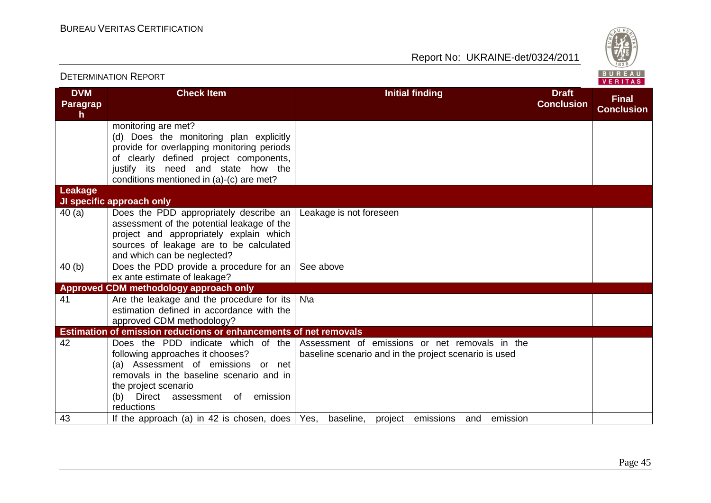

| <b>DETERMINATION REPORT</b>        |                                                                                                                                                                                                                                          |                                                                                                         |                                   | BUREAU<br>VERITAS                 |  |
|------------------------------------|------------------------------------------------------------------------------------------------------------------------------------------------------------------------------------------------------------------------------------------|---------------------------------------------------------------------------------------------------------|-----------------------------------|-----------------------------------|--|
| <b>DVM</b><br><b>Paragrap</b><br>h | <b>Check Item</b>                                                                                                                                                                                                                        | <b>Initial finding</b>                                                                                  | <b>Draft</b><br><b>Conclusion</b> | <b>Final</b><br><b>Conclusion</b> |  |
|                                    | monitoring are met?<br>(d) Does the monitoring plan explicitly<br>provide for overlapping monitoring periods<br>of clearly defined project components,<br>justify its need and state how the<br>conditions mentioned in (a)-(c) are met? |                                                                                                         |                                   |                                   |  |
| <b>Leakage</b>                     | JI specific approach only                                                                                                                                                                                                                |                                                                                                         |                                   |                                   |  |
| 40(a)                              | Does the PDD appropriately describe an<br>assessment of the potential leakage of the<br>project and appropriately explain which<br>sources of leakage are to be calculated<br>and which can be neglected?                                | Leakage is not foreseen                                                                                 |                                   |                                   |  |
| 40(b)                              | Does the PDD provide a procedure for an $\vert$<br>ex ante estimate of leakage?                                                                                                                                                          | See above                                                                                               |                                   |                                   |  |
|                                    | Approved CDM methodology approach only                                                                                                                                                                                                   |                                                                                                         |                                   |                                   |  |
| 41                                 | Are the leakage and the procedure for its<br>estimation defined in accordance with the<br>approved CDM methodology?                                                                                                                      | $N\$                                                                                                    |                                   |                                   |  |
|                                    | <b>Estimation of emission reductions or enhancements of net removals</b>                                                                                                                                                                 |                                                                                                         |                                   |                                   |  |
| 42                                 | Does the PDD indicate which of the<br>following approaches it chooses?<br>(a) Assessment of emissions or net<br>removals in the baseline scenario and in<br>the project scenario<br>Direct assessment of emission<br>(b)<br>reductions   | Assessment of emissions or net removals in the<br>baseline scenario and in the project scenario is used |                                   |                                   |  |
| 43                                 | If the approach (a) in 42 is chosen, does $\sqrt{$ Yes, baseline,                                                                                                                                                                        | emission<br>project emissions<br>and                                                                    |                                   |                                   |  |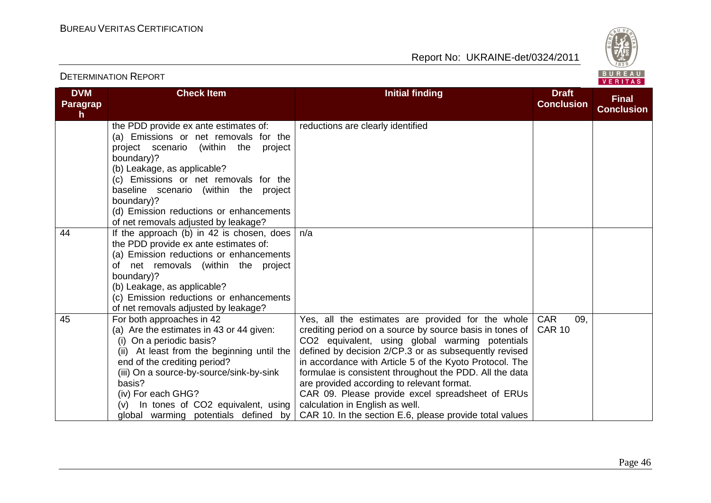

|                                     |                                                                                                                                                                                                                                                                                                                                                           |                                                                                                                                                                                                                                                                                                                                                                                                                                                                                                                                                 |                                    | VERITAS                           |
|-------------------------------------|-----------------------------------------------------------------------------------------------------------------------------------------------------------------------------------------------------------------------------------------------------------------------------------------------------------------------------------------------------------|-------------------------------------------------------------------------------------------------------------------------------------------------------------------------------------------------------------------------------------------------------------------------------------------------------------------------------------------------------------------------------------------------------------------------------------------------------------------------------------------------------------------------------------------------|------------------------------------|-----------------------------------|
| <b>DVM</b><br><b>Paragrap</b><br>h. | <b>Check Item</b>                                                                                                                                                                                                                                                                                                                                         | <b>Initial finding</b>                                                                                                                                                                                                                                                                                                                                                                                                                                                                                                                          | <b>Draft</b><br><b>Conclusion</b>  | <b>Final</b><br><b>Conclusion</b> |
|                                     | the PDD provide ex ante estimates of:<br>(a) Emissions or net removals for the<br>project scenario (within the<br>project<br>boundary)?<br>(b) Leakage, as applicable?<br>(c) Emissions or net removals for the<br>baseline scenario (within the project<br>boundary)?<br>(d) Emission reductions or enhancements<br>of net removals adjusted by leakage? | reductions are clearly identified                                                                                                                                                                                                                                                                                                                                                                                                                                                                                                               |                                    |                                   |
| 44                                  | If the approach (b) in 42 is chosen, does<br>the PDD provide ex ante estimates of:<br>(a) Emission reductions or enhancements<br>of net removals (within the project<br>boundary)?<br>(b) Leakage, as applicable?<br>(c) Emission reductions or enhancements<br>of net removals adjusted by leakage?                                                      | n/a                                                                                                                                                                                                                                                                                                                                                                                                                                                                                                                                             |                                    |                                   |
| 45                                  | For both approaches in 42<br>(a) Are the estimates in 43 or 44 given:<br>(i) On a periodic basis?<br>(ii) At least from the beginning until the<br>end of the crediting period?<br>(iii) On a source-by-source/sink-by-sink<br>basis?<br>(iv) For each GHG?<br>In tones of CO2 equivalent, using<br>(V)<br>global warming potentials defined by           | Yes, all the estimates are provided for the whole<br>crediting period on a source by source basis in tones of<br>CO2 equivalent, using global warming potentials<br>defined by decision 2/CP.3 or as subsequently revised<br>in accordance with Article 5 of the Kyoto Protocol. The<br>formulae is consistent throughout the PDD. All the data<br>are provided according to relevant format.<br>CAR 09. Please provide excel spreadsheet of ERUs<br>calculation in English as well.<br>CAR 10. In the section E.6, please provide total values | <b>CAR</b><br>09.<br><b>CAR 10</b> |                                   |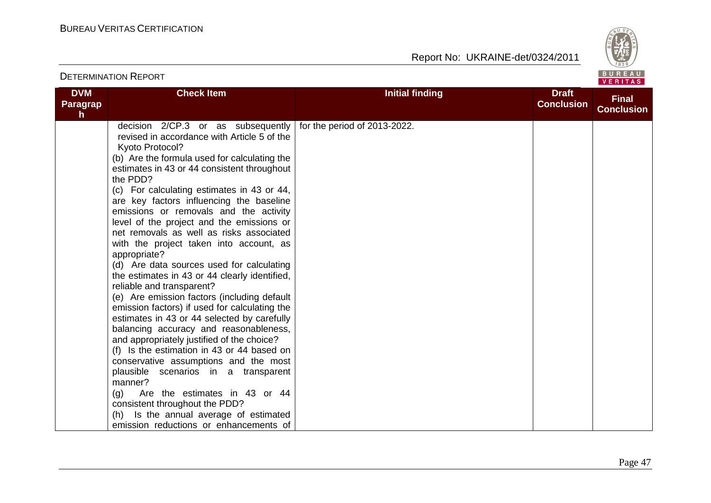

| <b>DVM</b><br>Paragrap<br>$\mathsf{h}$ | <b>Check Item</b>                                                                                                                                                                                                                                                                                                                                                                                                                                                                                                                                                                                                                                                                                                                                                                                                                                                                                                                                                                                                                                                                                                                                                                   | <b>Initial finding</b>       | <b>Draft</b><br><b>Conclusion</b> | <b>Final</b><br><b>Conclusion</b> |
|----------------------------------------|-------------------------------------------------------------------------------------------------------------------------------------------------------------------------------------------------------------------------------------------------------------------------------------------------------------------------------------------------------------------------------------------------------------------------------------------------------------------------------------------------------------------------------------------------------------------------------------------------------------------------------------------------------------------------------------------------------------------------------------------------------------------------------------------------------------------------------------------------------------------------------------------------------------------------------------------------------------------------------------------------------------------------------------------------------------------------------------------------------------------------------------------------------------------------------------|------------------------------|-----------------------------------|-----------------------------------|
|                                        | decision $2/CP.3$ or as subsequently<br>revised in accordance with Article 5 of the<br>Kyoto Protocol?<br>(b) Are the formula used for calculating the<br>estimates in 43 or 44 consistent throughout<br>the PDD?<br>(c) For calculating estimates in 43 or 44,<br>are key factors influencing the baseline<br>emissions or removals and the activity<br>level of the project and the emissions or<br>net removals as well as risks associated<br>with the project taken into account, as<br>appropriate?<br>(d) Are data sources used for calculating<br>the estimates in 43 or 44 clearly identified,<br>reliable and transparent?<br>(e) Are emission factors (including default<br>emission factors) if used for calculating the<br>estimates in 43 or 44 selected by carefully<br>balancing accuracy and reasonableness,<br>and appropriately justified of the choice?<br>(f) Is the estimation in 43 or 44 based on<br>conservative assumptions and the most<br>plausible scenarios in a transparent<br>manner?<br>Are the estimates in 43 or 44<br>(q)<br>consistent throughout the PDD?<br>(h) Is the annual average of estimated<br>emission reductions or enhancements of | for the period of 2013-2022. |                                   |                                   |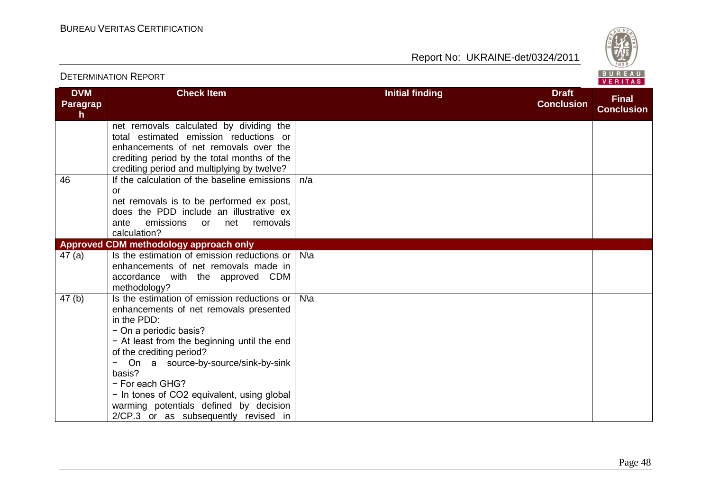Report No: UKRAINE-det/0324/2011



#### **DVM Paragrap h Check Item Initial finding Initial finding Draft Conclusion Final Conclusion** net removals calculated by dividing the total estimated emission reductions or enhancements of net removals over the crediting period by the total months of the crediting period and multiplying by twelve? 46 If the calculation of the baseline emissions or net removals is to be performed ex post, does the PDD include an illustrative ex ante emissions or net removals calculation? n/a **Approved CDM methodology approach only** 47 (a) Is the estimation of emission reductions or | N\a enhancements of net removals made in accordance with the approved CDM methodology? 47 (b) Is the estimation of emission reductions or enhancements of net removals presented in the PDD: − On a periodic basis? − At least from the beginning until the end of the crediting period? − On a source-by-source/sink-by-sink basis? − For each GHG? − In tones of CO2 equivalent, using global warming potentials defined by decision 2/CP.3 or as subsequently revised in N\a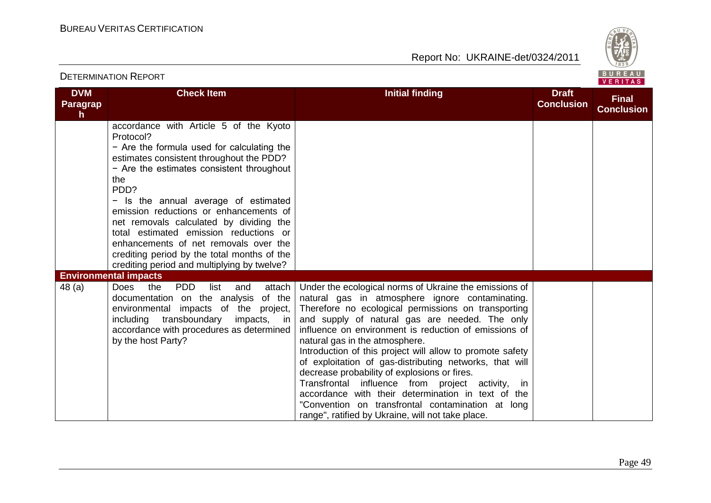

| <b>DETERMINATION REPORT</b>         |                                                                                                                                                                                                                                                                                                                                                                                                                                                                                                                         |                                                                                                                                                                                                                                                                                                                                                                                                                                                                                                                                                                                                                                                                                                               | BUREAU<br><b>VERITAS</b>          |                                   |
|-------------------------------------|-------------------------------------------------------------------------------------------------------------------------------------------------------------------------------------------------------------------------------------------------------------------------------------------------------------------------------------------------------------------------------------------------------------------------------------------------------------------------------------------------------------------------|---------------------------------------------------------------------------------------------------------------------------------------------------------------------------------------------------------------------------------------------------------------------------------------------------------------------------------------------------------------------------------------------------------------------------------------------------------------------------------------------------------------------------------------------------------------------------------------------------------------------------------------------------------------------------------------------------------------|-----------------------------------|-----------------------------------|
| <b>DVM</b><br><b>Paragrap</b><br>h. | <b>Check Item</b>                                                                                                                                                                                                                                                                                                                                                                                                                                                                                                       | <b>Initial finding</b>                                                                                                                                                                                                                                                                                                                                                                                                                                                                                                                                                                                                                                                                                        | <b>Draft</b><br><b>Conclusion</b> | <b>Final</b><br><b>Conclusion</b> |
|                                     | accordance with Article 5 of the Kyoto<br>Protocol?<br>- Are the formula used for calculating the<br>estimates consistent throughout the PDD?<br>- Are the estimates consistent throughout<br>the<br>PDD?<br>- Is the annual average of estimated<br>emission reductions or enhancements of<br>net removals calculated by dividing the<br>total estimated emission reductions or<br>enhancements of net removals over the<br>crediting period by the total months of the<br>crediting period and multiplying by twelve? |                                                                                                                                                                                                                                                                                                                                                                                                                                                                                                                                                                                                                                                                                                               |                                   |                                   |
|                                     | <b>Environmental impacts</b>                                                                                                                                                                                                                                                                                                                                                                                                                                                                                            |                                                                                                                                                                                                                                                                                                                                                                                                                                                                                                                                                                                                                                                                                                               |                                   |                                   |
| 48 (a)                              | <b>PDD</b><br>the<br>list<br>attach<br><b>Does</b><br>and<br>documentation on the analysis of the<br>environmental impacts of the project,<br>transboundary<br>impacts, in<br>including<br>accordance with procedures as determined<br>by the host Party?                                                                                                                                                                                                                                                               | Under the ecological norms of Ukraine the emissions of<br>natural gas in atmosphere ignore contaminating.<br>Therefore no ecological permissions on transporting<br>and supply of natural gas are needed. The only<br>influence on environment is reduction of emissions of<br>natural gas in the atmosphere.<br>Introduction of this project will allow to promote safety<br>of exploitation of gas-distributing networks, that will<br>decrease probability of explosions or fires.<br>Transfrontal influence from project activity,<br>in.<br>accordance with their determination in text of the<br>"Convention on transfrontal contamination at long<br>range", ratified by Ukraine, will not take place. |                                   |                                   |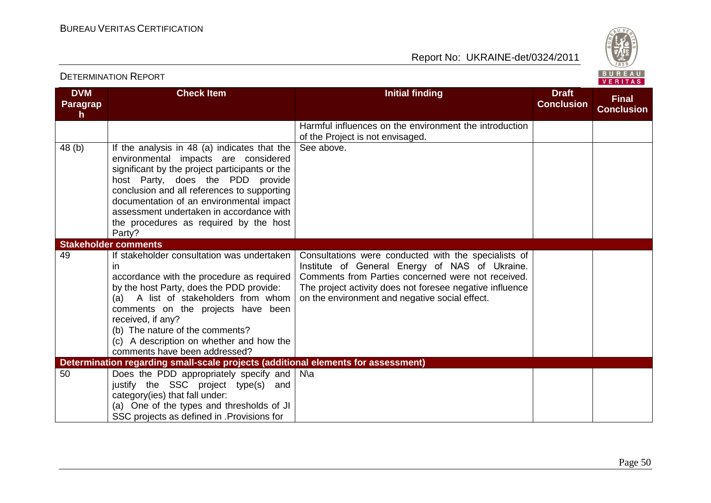

|                             |                                                                                                                                                                                                                                                                                                                                                                       |                                                                                                                                                                                                                                                                            |                                   | <b>VERIIAS</b>                    |
|-----------------------------|-----------------------------------------------------------------------------------------------------------------------------------------------------------------------------------------------------------------------------------------------------------------------------------------------------------------------------------------------------------------------|----------------------------------------------------------------------------------------------------------------------------------------------------------------------------------------------------------------------------------------------------------------------------|-----------------------------------|-----------------------------------|
| <b>DVM</b><br>Paragrap<br>h | <b>Check Item</b>                                                                                                                                                                                                                                                                                                                                                     | <b>Initial finding</b>                                                                                                                                                                                                                                                     | <b>Draft</b><br><b>Conclusion</b> | <b>Final</b><br><b>Conclusion</b> |
|                             |                                                                                                                                                                                                                                                                                                                                                                       | Harmful influences on the environment the introduction<br>of the Project is not envisaged.                                                                                                                                                                                 |                                   |                                   |
| 48 (b)                      | If the analysis in 48 (a) indicates that the<br>environmental impacts are considered<br>significant by the project participants or the<br>host Party, does the PDD provide<br>conclusion and all references to supporting<br>documentation of an environmental impact<br>assessment undertaken in accordance with<br>the procedures as required by the host<br>Party? | See above.                                                                                                                                                                                                                                                                 |                                   |                                   |
|                             | <b>Stakeholder comments</b>                                                                                                                                                                                                                                                                                                                                           |                                                                                                                                                                                                                                                                            |                                   |                                   |
| 49                          | If stakeholder consultation was undertaken<br>in<br>accordance with the procedure as required<br>by the host Party, does the PDD provide:<br>(a) A list of stakeholders from whom<br>comments on the projects have been<br>received, if any?<br>(b) The nature of the comments?<br>(c) A description on whether and how the<br>comments have been addressed?          | Consultations were conducted with the specialists of<br>Institute of General Energy of NAS of Ukraine.<br>Comments from Parties concerned were not received.<br>The project activity does not foresee negative influence<br>on the environment and negative social effect. |                                   |                                   |
|                             | Determination regarding small-scale projects (additional elements for assessment)                                                                                                                                                                                                                                                                                     |                                                                                                                                                                                                                                                                            |                                   |                                   |
| 50                          | Does the PDD appropriately specify and<br>justify the SSC project type(s) and<br>category(ies) that fall under:<br>(a) One of the types and thresholds of JI<br>SSC projects as defined in . Provisions for                                                                                                                                                           | $N\$                                                                                                                                                                                                                                                                       |                                   |                                   |

#### DETERMINATION REPORT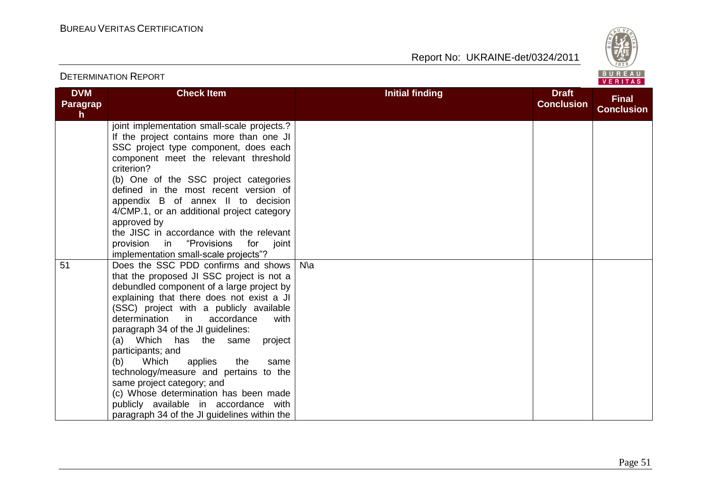

|                                     |                                                                                                                                                                                                                                                                                                                                                                                                                                                                                                                                                                                                                     |                        |                                   | <b>VERITAS</b>                    |
|-------------------------------------|---------------------------------------------------------------------------------------------------------------------------------------------------------------------------------------------------------------------------------------------------------------------------------------------------------------------------------------------------------------------------------------------------------------------------------------------------------------------------------------------------------------------------------------------------------------------------------------------------------------------|------------------------|-----------------------------------|-----------------------------------|
| <b>DVM</b><br><b>Paragrap</b><br>h. | <b>Check Item</b>                                                                                                                                                                                                                                                                                                                                                                                                                                                                                                                                                                                                   | <b>Initial finding</b> | <b>Draft</b><br><b>Conclusion</b> | <b>Final</b><br><b>Conclusion</b> |
|                                     | joint implementation small-scale projects.?<br>If the project contains more than one JI<br>SSC project type component, does each<br>component meet the relevant threshold<br>criterion?<br>(b) One of the SSC project categories<br>defined in the most recent version of<br>appendix B of annex II to decision<br>4/CMP.1, or an additional project category<br>approved by<br>the JISC in accordance with the relevant<br>"Provisions<br>provision in<br>for<br>joint<br>implementation small-scale projects"?                                                                                                    |                        |                                   |                                   |
| 51                                  | Does the SSC PDD confirms and shows<br>that the proposed JI SSC project is not a<br>debundled component of a large project by<br>explaining that there does not exist a JI<br>(SSC) project with a publicly available<br>determination in<br>accordance<br>with<br>paragraph 34 of the JI guidelines:<br>(a) Which has the same<br>project<br>participants; and<br>Which<br>applies<br>(b)<br>the<br>same<br>technology/measure and pertains to the<br>same project category; and<br>(c) Whose determination has been made<br>publicly available in accordance with<br>paragraph 34 of the JI guidelines within the | $N\$                   |                                   |                                   |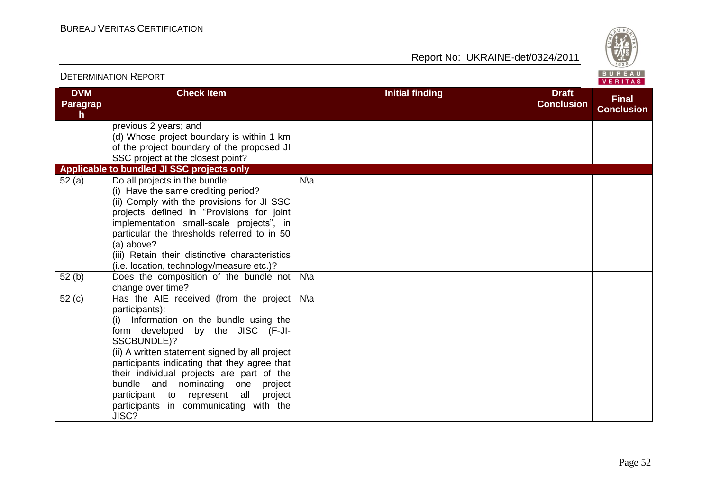

#### DETERMINATION REPORT **DVM Paragrap h Check Item Initial finding Initial finding Draft Conclusion Final Conclusion** previous 2 years; and (d) Whose project boundary is within 1 km of the project boundary of the proposed JI SSC project at the closest point? **Applicable to bundled JI SSC projects only** 52 (a) Do all projects in the bundle: (i) Have the same crediting period? (ii) Comply with the provisions for JI SSC projects defined in "Provisions for joint implementation small-scale projects", in particular the thresholds referred to in 50 (a) above? (iii) Retain their distinctive characteristics (i.e. location, technology/measure etc.)? N\a 52 (b) Does the composition of the bundle not N\a change over time? 52 (c) Has the AIE received (from the project participants): (i) Information on the bundle using the form developed by the JISC (F-JI-SSCBUNDLE<sup>12</sup> (ii) A written statement signed by all project participants indicating that they agree that their individual projects are part of the bundle and nominating one project participant to represent all project participants in communicating with the JISC? N\a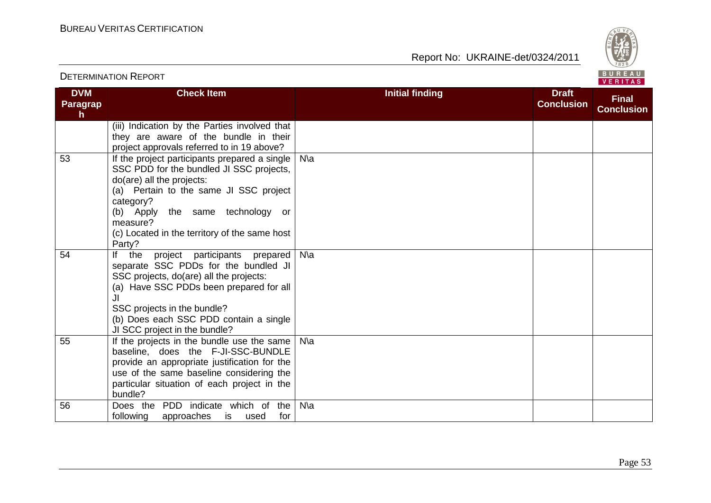

#### **DVM Paragrap h Check Item Initial finding Initial finding Draft Conclusion Final Conclusion** (iii) Indication by the Parties involved that they are aware of the bundle in their project approvals referred to in 19 above? 53 **If the project participants prepared a single** SSC PDD for the bundled JI SSC projects, do(are) all the projects: (a) Pertain to the same JI SSC project category? (b) Apply the same technology or measure? (c) Located in the territory of the same host Party? N\a 54 If the project participants prepared N\a separate SSC PDDs for the bundled JI SSC projects, do(are) all the projects: (a) Have SSC PDDs been prepared for all JI SSC projects in the bundle? (b) Does each SSC PDD contain a single JI SCC project in the bundle? 55 If the projects in the bundle use the same baseline, does the F-JI-SSC-BUNDLE provide an appropriate justification for the use of the same baseline considering the particular situation of each project in the bundle? N\a 56 Does the PDD indicate which of the following approaches is used for N\a

#### DETERMINATION REPORT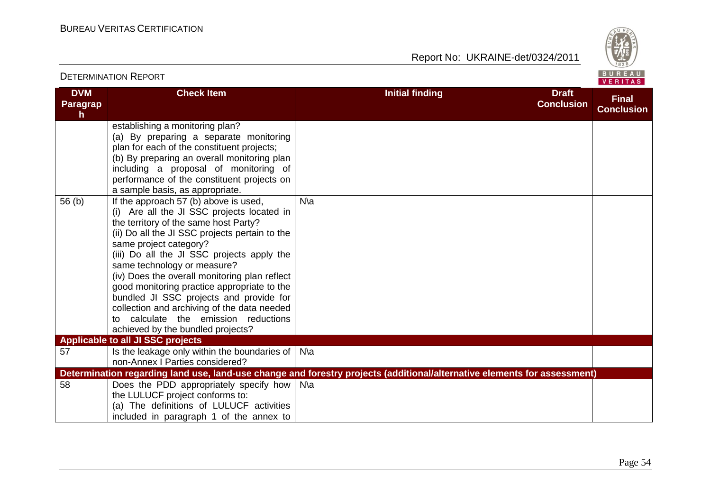Report No: UKRAINE-det/0324/2011



#### **DVM Paragrap h Check Item Initial finding Initial finding Draft Conclusion Final Conclusion** establishing a monitoring plan? (a) By preparing a separate monitoring plan for each of the constituent projects; (b) By preparing an overall monitoring plan including a proposal of monitoring of performance of the constituent projects on a sample basis, as appropriate. 56 (b) If the approach 57 (b) above is used, (i) Are all the JI SSC projects located in the territory of the same host Party? (ii) Do all the JI SSC projects pertain to the same project category? (iii) Do all the JI SSC projects apply the same technology or measure? (iv) Does the overall monitoring plan reflect good monitoring practice appropriate to the bundled JI SSC projects and provide for collection and archiving of the data needed to calculate the emission reductions achieved by the bundled projects? N\a **Applicable to all JI SSC projects** 57 Social Lubstange only within the boundaries of  $\vert$  N\and N\and N\and N\and N\a non-Annex I Parties considered? **Determination regarding land use, land-use change and forestry projects (additional/alternative elements for assessment)** 58 **Does the PDD appropriately specify how** N\a the LULUCF project conforms to: (a) The definitions of LULUCF activities included in paragraph 1 of the annex to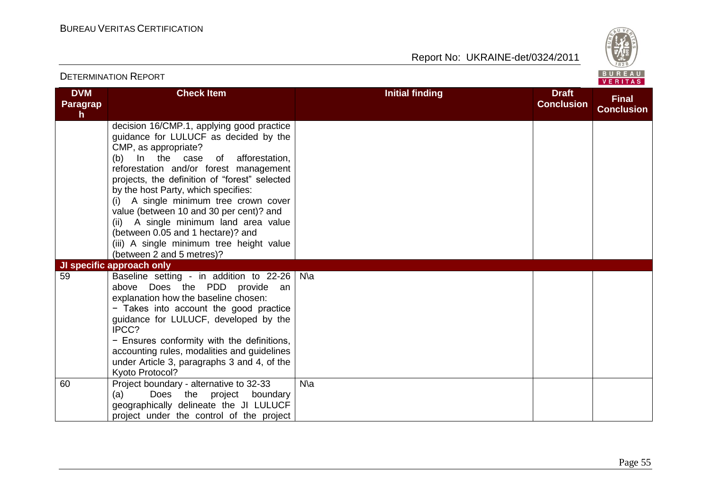

| <b>DETERMINATION REPORT</b> |                                                                                                                                                                                                                                                                                                                                                                                                                                                                                                                                                              |                        |                                   | BUREAU<br><b>VERITAS</b>          |
|-----------------------------|--------------------------------------------------------------------------------------------------------------------------------------------------------------------------------------------------------------------------------------------------------------------------------------------------------------------------------------------------------------------------------------------------------------------------------------------------------------------------------------------------------------------------------------------------------------|------------------------|-----------------------------------|-----------------------------------|
| <b>DVM</b><br>Paragrap<br>h | <b>Check Item</b>                                                                                                                                                                                                                                                                                                                                                                                                                                                                                                                                            | <b>Initial finding</b> | <b>Draft</b><br><b>Conclusion</b> | <b>Final</b><br><b>Conclusion</b> |
|                             | decision 16/CMP.1, applying good practice<br>guidance for LULUCF as decided by the<br>CMP, as appropriate?<br>(b) In the case of afforestation,<br>reforestation and/or forest management<br>projects, the definition of "forest" selected<br>by the host Party, which specifies:<br>A single minimum tree crown cover<br>(i)<br>value (between 10 and 30 per cent)? and<br>(ii) A single minimum land area value<br>(between 0.05 and 1 hectare)? and<br>(iii) A single minimum tree height value<br>(between 2 and 5 metres)?<br>JI specific approach only |                        |                                   |                                   |
| 59<br>60                    | Baseline setting - in addition to 22-26<br>above Does the PDD provide an<br>explanation how the baseline chosen:<br>- Takes into account the good practice<br>guidance for LULUCF, developed by the<br>IPCC?<br>- Ensures conformity with the definitions,<br>accounting rules, modalities and guidelines<br>under Article 3, paragraphs 3 and 4, of the<br>Kyoto Protocol?<br>Project boundary - alternative to 32-33                                                                                                                                       | N\a<br>$N\$            |                                   |                                   |
|                             | Does the project boundary<br>(a)<br>geographically delineate the JI LULUCF<br>project under the control of the project                                                                                                                                                                                                                                                                                                                                                                                                                                       |                        |                                   |                                   |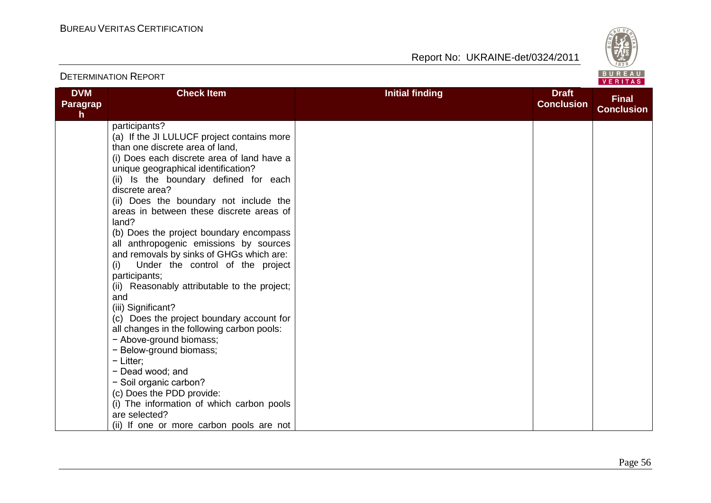

| <b>DETERMINATION REPORT</b> |                                                                                                                                                                                                                                                                                                                                                                                                                                                                                                                                                                                                                                                                                                                                                                                                                                                                                                                                                                              |                        | BUREAU<br>VERITAS                 |                                   |
|-----------------------------|------------------------------------------------------------------------------------------------------------------------------------------------------------------------------------------------------------------------------------------------------------------------------------------------------------------------------------------------------------------------------------------------------------------------------------------------------------------------------------------------------------------------------------------------------------------------------------------------------------------------------------------------------------------------------------------------------------------------------------------------------------------------------------------------------------------------------------------------------------------------------------------------------------------------------------------------------------------------------|------------------------|-----------------------------------|-----------------------------------|
| <b>DVM</b><br>Paragrap<br>h | <b>Check Item</b>                                                                                                                                                                                                                                                                                                                                                                                                                                                                                                                                                                                                                                                                                                                                                                                                                                                                                                                                                            | <b>Initial finding</b> | <b>Draft</b><br><b>Conclusion</b> | <b>Final</b><br><b>Conclusion</b> |
|                             | participants?<br>(a) If the JI LULUCF project contains more<br>than one discrete area of land,<br>(i) Does each discrete area of land have a<br>unique geographical identification?<br>(ii) Is the boundary defined for each<br>discrete area?<br>(ii) Does the boundary not include the<br>areas in between these discrete areas of<br>land?<br>(b) Does the project boundary encompass<br>all anthropogenic emissions by sources<br>and removals by sinks of GHGs which are:<br>Under the control of the project<br>(i)<br>participants;<br>(ii) Reasonably attributable to the project;<br>and<br>(iii) Significant?<br>(c) Does the project boundary account for<br>all changes in the following carbon pools:<br>- Above-ground biomass;<br>- Below-ground biomass;<br>$-$ Litter;<br>- Dead wood; and<br>- Soil organic carbon?<br>(c) Does the PDD provide:<br>(i) The information of which carbon pools<br>are selected?<br>(ii) If one or more carbon pools are not |                        |                                   |                                   |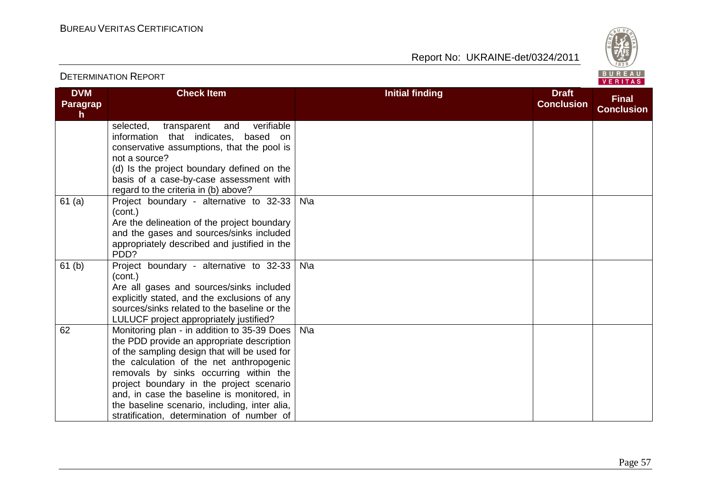Report No: UKRAINE-det/0324/2011



#### **DVM Paragrap h Check Item Initial finding Initial finding Draft Conclusion Final Conclusion** selected, transparent and verifiable information that indicates, based on conservative assumptions, that the pool is not a source? (d) Is the project boundary defined on the basis of a case-by-case assessment with regard to the criteria in (b) above? 61 (a) Project boundary - alternative to 32-33 N\a (cont.) Are the delineation of the project boundary and the gases and sources/sinks included appropriately described and justified in the PDD? 61 (b) Project boundary - alternative to 32-33 (cont.) Are all gases and sources/sinks included explicitly stated, and the exclusions of any sources/sinks related to the baseline or the LULUCF project appropriately justified? N\a 62 Monitoring plan - in addition to 35-39 Does the PDD provide an appropriate description of the sampling design that will be used for the calculation of the net anthropogenic removals by sinks occurring within the project boundary in the project scenario and, in case the baseline is monitored, in the baseline scenario, including, inter alia, stratification, determination of number of N\a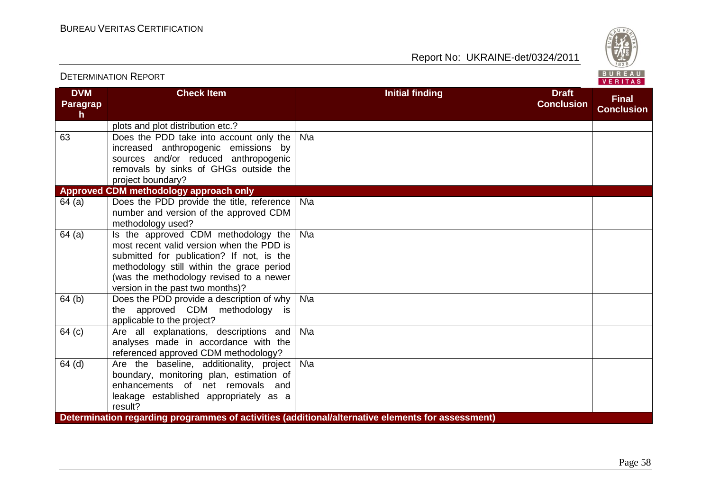

|                                    |                                                                                                                                                                                                                                                           |                                                                                                   | VERITAS                           |
|------------------------------------|-----------------------------------------------------------------------------------------------------------------------------------------------------------------------------------------------------------------------------------------------------------|---------------------------------------------------------------------------------------------------|-----------------------------------|
| <b>DVM</b><br><b>Paragrap</b><br>h | <b>Check Item</b>                                                                                                                                                                                                                                         | <b>Initial finding</b><br><b>Draft</b><br><b>Conclusion</b>                                       | <b>Final</b><br><b>Conclusion</b> |
|                                    | plots and plot distribution etc.?                                                                                                                                                                                                                         |                                                                                                   |                                   |
| 63                                 | Does the PDD take into account only the<br>increased anthropogenic emissions by<br>sources and/or reduced anthropogenic<br>removals by sinks of GHGs outside the<br>project boundary?                                                                     | $N\$                                                                                              |                                   |
|                                    | Approved CDM methodology approach only                                                                                                                                                                                                                    |                                                                                                   |                                   |
| 64(a)                              | Does the PDD provide the title, reference<br>number and version of the approved CDM<br>methodology used?                                                                                                                                                  | $N\$ a                                                                                            |                                   |
| 64(a)                              | Is the approved CDM methodology the<br>most recent valid version when the PDD is<br>submitted for publication? If not, is the<br>methodology still within the grace period<br>(was the methodology revised to a newer<br>version in the past two months)? | $N\$                                                                                              |                                   |
| 64 <sub>(b)</sub>                  | Does the PDD provide a description of why<br>the approved CDM methodology is<br>applicable to the project?                                                                                                                                                | $N\$                                                                                              |                                   |
| 64 (c)                             | Are all explanations, descriptions and<br>analyses made in accordance with the<br>referenced approved CDM methodology?                                                                                                                                    | $N\$                                                                                              |                                   |
| 64 (d)                             | Are the baseline, additionality, project<br>boundary, monitoring plan, estimation of<br>enhancements of net removals and<br>leakage established appropriately as a<br>result?                                                                             | $N\$                                                                                              |                                   |
|                                    |                                                                                                                                                                                                                                                           | Determination regarding programmes of activities (additional/alternative elements for assessment) |                                   |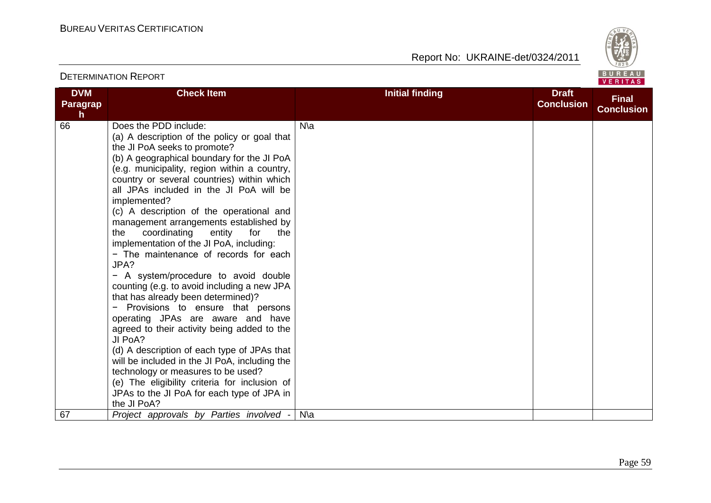

|                                               |                                                                                                                                                                                                                                                                                                                                                                                                                                                                                                                                                                                                                                                                                                                                                                                                                                                                                                                                                                                                                                                                     |                        |                                   | <b>VENIIAS</b>                    |
|-----------------------------------------------|---------------------------------------------------------------------------------------------------------------------------------------------------------------------------------------------------------------------------------------------------------------------------------------------------------------------------------------------------------------------------------------------------------------------------------------------------------------------------------------------------------------------------------------------------------------------------------------------------------------------------------------------------------------------------------------------------------------------------------------------------------------------------------------------------------------------------------------------------------------------------------------------------------------------------------------------------------------------------------------------------------------------------------------------------------------------|------------------------|-----------------------------------|-----------------------------------|
| <b>DVM</b><br><b>Paragrap</b><br>$\mathsf{h}$ | <b>Check Item</b>                                                                                                                                                                                                                                                                                                                                                                                                                                                                                                                                                                                                                                                                                                                                                                                                                                                                                                                                                                                                                                                   | <b>Initial finding</b> | <b>Draft</b><br><b>Conclusion</b> | <b>Final</b><br><b>Conclusion</b> |
| 66                                            | Does the PDD include:<br>(a) A description of the policy or goal that<br>the JI PoA seeks to promote?<br>(b) A geographical boundary for the JI PoA<br>(e.g. municipality, region within a country,<br>country or several countries) within which<br>all JPAs included in the JI PoA will be<br>implemented?<br>(c) A description of the operational and<br>management arrangements established by<br>coordinating<br>entity<br>for<br>the<br>the<br>implementation of the JI PoA, including:<br>- The maintenance of records for each<br>JPA?<br>- A system/procedure to avoid double<br>counting (e.g. to avoid including a new JPA<br>that has already been determined)?<br>Provisions to ensure that persons<br>operating JPAs are aware and have<br>agreed to their activity being added to the<br>JI PoA?<br>(d) A description of each type of JPAs that<br>will be included in the JI PoA, including the<br>technology or measures to be used?<br>(e) The eligibility criteria for inclusion of<br>JPAs to the JI PoA for each type of JPA in<br>the JI PoA? | $N\$                   |                                   |                                   |
| 67                                            | Project approvals by Parties involved -                                                                                                                                                                                                                                                                                                                                                                                                                                                                                                                                                                                                                                                                                                                                                                                                                                                                                                                                                                                                                             | N∖a                    |                                   |                                   |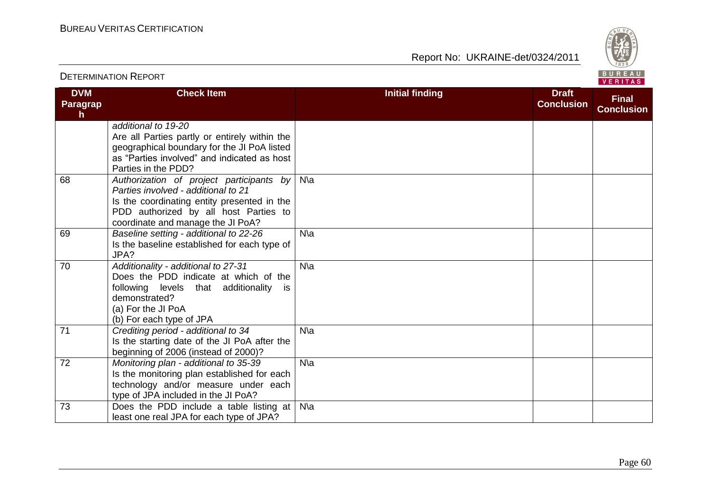Report No: UKRAINE-det/0324/2011



#### **DVM Paragrap h Check Item Initial finding Initial finding Draft Conclusion Final Conclusion** *additional to 19-20*  Are all Parties partly or entirely within the geographical boundary for the JI PoA listed as "Parties involved" and indicated as host Parties in the PDD? 68 *Authorization of project participants by*  N\a *Parties involved - additional to 21*  Is the coordinating entity presented in the PDD authorized by all host Parties to coordinate and manage the JI PoA? 69 *Baseline setting - additional to 22-26*  Is the baseline established for each type of JPA? N\a 70 *Additionality - additional to 27-31*  Does the PDD indicate at which of the following levels that additionality is demonstrated? (a) For the JI PoA (b) For each type of JPA N\a 71 *Crediting period - additional to 34*  Is the starting date of the JI PoA after the beginning of 2006 (instead of 2000)? N\a 72 *Monitoring plan - additional to 35-39*  Is the monitoring plan established for each technology and/or measure under each type of JPA included in the JI PoA? N\a 73 Does the PDD include a table listing at N\aleast one real JPA for each type of JPA?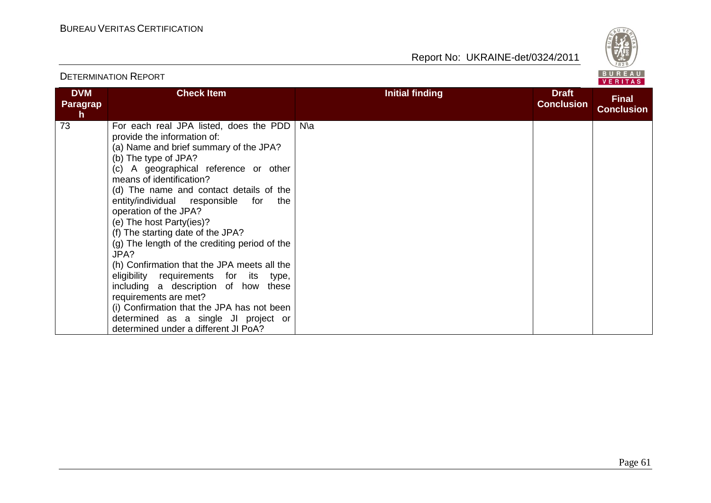

|                                     |                                                                                                                                                                                                                                                                                                                                                                                                                                                                                                                                                                                                                                                                                                                                                         |                        |                                   | .                                 |
|-------------------------------------|---------------------------------------------------------------------------------------------------------------------------------------------------------------------------------------------------------------------------------------------------------------------------------------------------------------------------------------------------------------------------------------------------------------------------------------------------------------------------------------------------------------------------------------------------------------------------------------------------------------------------------------------------------------------------------------------------------------------------------------------------------|------------------------|-----------------------------------|-----------------------------------|
| <b>DVM</b><br><b>Paragrap</b><br>h. | <b>Check Item</b>                                                                                                                                                                                                                                                                                                                                                                                                                                                                                                                                                                                                                                                                                                                                       | <b>Initial finding</b> | <b>Draft</b><br><b>Conclusion</b> | <b>Final</b><br><b>Conclusion</b> |
| 73                                  | For each real JPA listed, does the PDD<br>provide the information of:<br>(a) Name and brief summary of the JPA?<br>(b) The type of JPA?<br>(c) A geographical reference or other<br>means of identification?<br>(d) The name and contact details of the<br>entity/individual responsible<br>for<br>the<br>operation of the JPA?<br>(e) The host Party(ies)?<br>(f) The starting date of the JPA?<br>(g) The length of the crediting period of the<br>JPA?<br>(h) Confirmation that the JPA meets all the<br>eligibility requirements for its<br>type,<br>including a description of how<br>these<br>requirements are met?<br>(i) Confirmation that the JPA has not been<br>determined as a single JI project or<br>determined under a different JI PoA? | N∖a                    |                                   |                                   |

#### DETERMINATION REPORT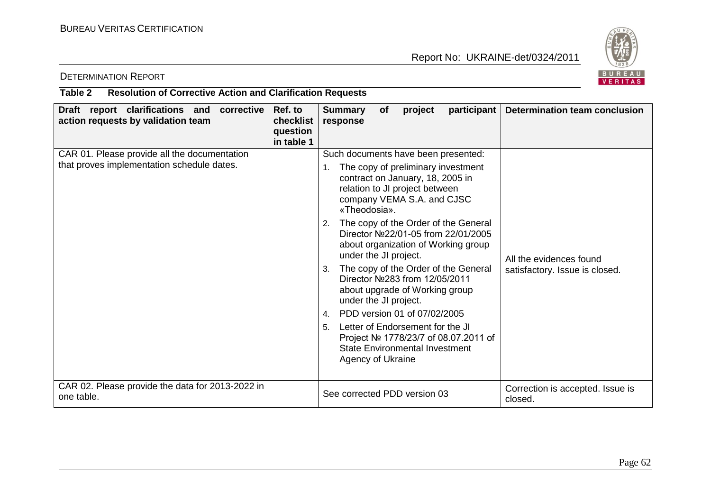

# DETERMINATION REPORT

### **Table 2 Resolution of Corrective Action and Clarification Requests**

| Draft report clarifications and<br>corrective<br>action requests by validation team        | Ref. to<br>checklist<br>question<br>in table 1 | <b>Summary</b><br>project<br><b>of</b><br>response                                                                                                                                                                                                                                                                                                                                                                                                                                                                                                                                                                                                                                                             | participant   Determination team conclusion               |
|--------------------------------------------------------------------------------------------|------------------------------------------------|----------------------------------------------------------------------------------------------------------------------------------------------------------------------------------------------------------------------------------------------------------------------------------------------------------------------------------------------------------------------------------------------------------------------------------------------------------------------------------------------------------------------------------------------------------------------------------------------------------------------------------------------------------------------------------------------------------------|-----------------------------------------------------------|
| CAR 01. Please provide all the documentation<br>that proves implementation schedule dates. |                                                | Such documents have been presented:<br>The copy of preliminary investment<br>1.<br>contract on January, 18, 2005 in<br>relation to JI project between<br>company VEMA S.A. and CJSC<br>«Theodosia».<br>The copy of the Order of the General<br>2.<br>Director Nº22/01-05 from 22/01/2005<br>about organization of Working group<br>under the JI project.<br>The copy of the Order of the General<br>3.<br>Director Nº283 from 12/05/2011<br>about upgrade of Working group<br>under the JI project.<br>PDD version 01 of 07/02/2005<br>$4_{\cdot}$<br>Letter of Endorsement for the JI<br>5 <sub>1</sub><br>Project № 1778/23/7 of 08.07.2011 of<br><b>State Environmental Investment</b><br>Agency of Ukraine | All the evidences found<br>satisfactory. Issue is closed. |
| CAR 02. Please provide the data for 2013-2022 in<br>one table.                             |                                                | See corrected PDD version 03                                                                                                                                                                                                                                                                                                                                                                                                                                                                                                                                                                                                                                                                                   | Correction is accepted. Issue is<br>closed.               |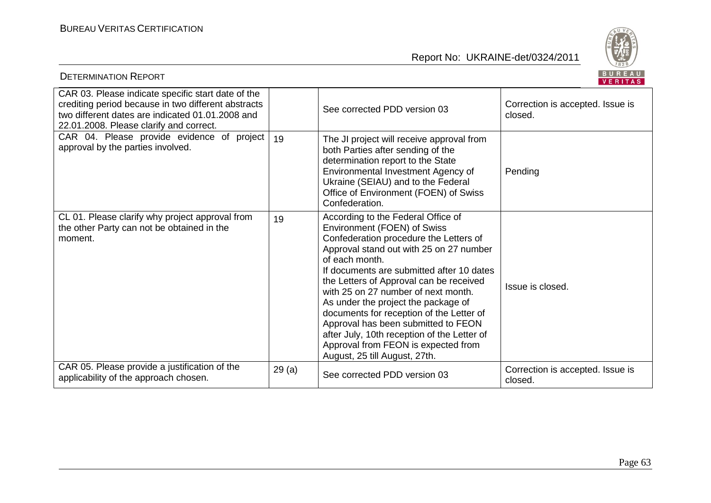

| <b>BUREAU</b><br><b>DETERMINATION REPORT</b><br>VERITAS                                                                                                                                                  |       |                                                                                                                                                                                                                                                                                                                                                                                                                                                                                                                                                          |                                             |  |
|----------------------------------------------------------------------------------------------------------------------------------------------------------------------------------------------------------|-------|----------------------------------------------------------------------------------------------------------------------------------------------------------------------------------------------------------------------------------------------------------------------------------------------------------------------------------------------------------------------------------------------------------------------------------------------------------------------------------------------------------------------------------------------------------|---------------------------------------------|--|
| CAR 03. Please indicate specific start date of the<br>crediting period because in two different abstracts<br>two different dates are indicated 01.01.2008 and<br>22.01.2008. Please clarify and correct. |       | See corrected PDD version 03                                                                                                                                                                                                                                                                                                                                                                                                                                                                                                                             | Correction is accepted. Issue is<br>closed. |  |
| CAR 04. Please provide evidence of project<br>approval by the parties involved.                                                                                                                          | 19    | The JI project will receive approval from<br>both Parties after sending of the<br>determination report to the State<br>Environmental Investment Agency of<br>Ukraine (SEIAU) and to the Federal<br>Office of Environment (FOEN) of Swiss<br>Confederation.                                                                                                                                                                                                                                                                                               | Pending                                     |  |
| CL 01. Please clarify why project approval from<br>the other Party can not be obtained in the<br>moment.                                                                                                 | 19    | According to the Federal Office of<br>Environment (FOEN) of Swiss<br>Confederation procedure the Letters of<br>Approval stand out with 25 on 27 number<br>of each month.<br>If documents are submitted after 10 dates<br>the Letters of Approval can be received<br>with 25 on 27 number of next month.<br>As under the project the package of<br>documents for reception of the Letter of<br>Approval has been submitted to FEON<br>after July, 10th reception of the Letter of<br>Approval from FEON is expected from<br>August, 25 till August, 27th. | Issue is closed.                            |  |
| CAR 05. Please provide a justification of the<br>applicability of the approach chosen.                                                                                                                   | 29(a) | See corrected PDD version 03                                                                                                                                                                                                                                                                                                                                                                                                                                                                                                                             | Correction is accepted. Issue is<br>closed. |  |